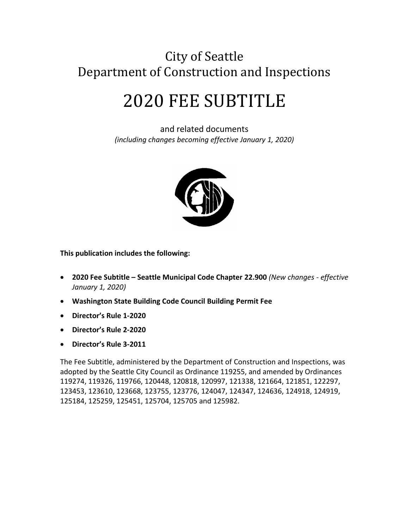# City of Seattle Department of Construction and Inspections

# 2020 FEE SUBTITLE

and related documents *(including changes becoming effective January 1, 2020)*



**This publication includes the following:**

- **2020 Fee Subtitle – Seattle Municipal Code Chapter 22.900** *(New changes - effective January 1, 2020)*
- **Washington State Building Code Council Building Permit Fee**
- **Director's Rule 1-2020**
- **Director's Rule 2-2020**
- **Director's Rule 3-2011**

The Fee Subtitle, administered by the Department of Construction and Inspections, was adopted by the Seattle City Council as Ordinance 119255, and amended by Ordinances 119274, 119326, 119766, 120448, 120818, 120997, 121338, 121664, 121851, 122297, 123453, 123610, 123668, 123755, 123776, 124047, 124347, 124636, 124918, 124919, 125184, 125259, 125451, 125704, 125705 and 125982.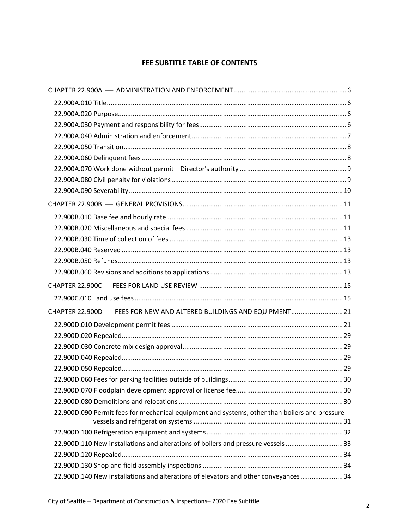# **FEE SUBTITLE TABLE OF CONTENTS**

| CHAPTER 22.900D - FEES FOR NEW AND ALTERED BUILDINGS AND EQUIPMENT 21                         |  |
|-----------------------------------------------------------------------------------------------|--|
|                                                                                               |  |
|                                                                                               |  |
|                                                                                               |  |
|                                                                                               |  |
|                                                                                               |  |
|                                                                                               |  |
|                                                                                               |  |
|                                                                                               |  |
| 22.900D.090 Permit fees for mechanical equipment and systems, other than boilers and pressure |  |
|                                                                                               |  |
| 22.900D.110 New installations and alterations of boilers and pressure vessels 33              |  |
|                                                                                               |  |
|                                                                                               |  |
| 22.900D.140 New installations and alterations of elevators and other conveyances34            |  |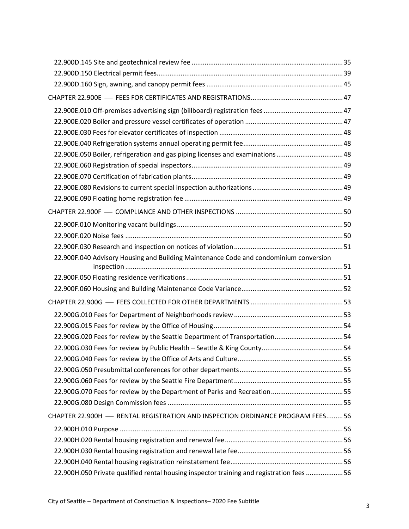| 22.900E.050 Boiler, refrigeration and gas piping licenses and examinations48             |  |
|------------------------------------------------------------------------------------------|--|
|                                                                                          |  |
|                                                                                          |  |
|                                                                                          |  |
|                                                                                          |  |
|                                                                                          |  |
|                                                                                          |  |
|                                                                                          |  |
|                                                                                          |  |
| 22.900F.040 Advisory Housing and Building Maintenance Code and condominium conversion    |  |
|                                                                                          |  |
|                                                                                          |  |
|                                                                                          |  |
|                                                                                          |  |
|                                                                                          |  |
| 22.900G.020 Fees for review by the Seattle Department of Transportation54                |  |
|                                                                                          |  |
|                                                                                          |  |
|                                                                                          |  |
|                                                                                          |  |
|                                                                                          |  |
|                                                                                          |  |
| CHAPTER 22.900H - RENTAL REGISTRATION AND INSPECTION ORDINANCE PROGRAM FEES56            |  |
|                                                                                          |  |
|                                                                                          |  |
|                                                                                          |  |
|                                                                                          |  |
| 22.900H.050 Private qualified rental housing inspector training and registration fees 56 |  |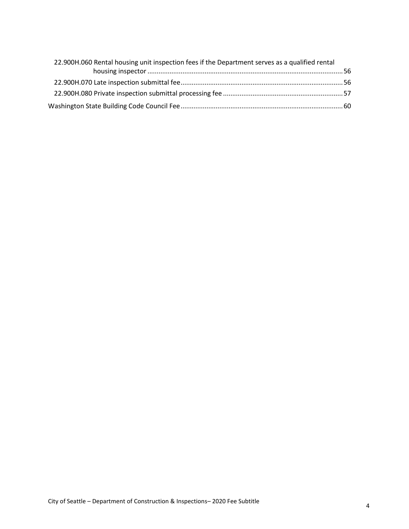| 22.900H.060 Rental housing unit inspection fees if the Department serves as a qualified rental |  |
|------------------------------------------------------------------------------------------------|--|
|                                                                                                |  |
|                                                                                                |  |
|                                                                                                |  |
|                                                                                                |  |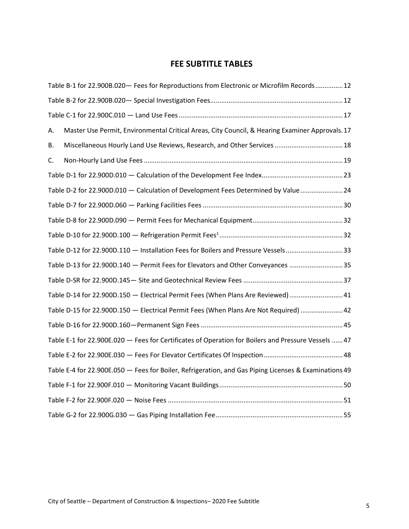# **FEE SUBTITLE TABLES**

|    | Table B-1 for 22.900B.020 - Fees for Reproductions from Electronic or Microfilm Records 12            |  |
|----|-------------------------------------------------------------------------------------------------------|--|
|    |                                                                                                       |  |
|    |                                                                                                       |  |
| А. | Master Use Permit, Environmental Critical Areas, City Council, & Hearing Examiner Approvals. 17       |  |
| В. | Miscellaneous Hourly Land Use Reviews, Research, and Other Services  18                               |  |
| C. |                                                                                                       |  |
|    |                                                                                                       |  |
|    | Table D-2 for 22.900D.010 - Calculation of Development Fees Determined by Value  24                   |  |
|    |                                                                                                       |  |
|    |                                                                                                       |  |
|    |                                                                                                       |  |
|    | Table D-12 for 22.900D.110 - Installation Fees for Boilers and Pressure Vessels33                     |  |
|    | Table D-13 for 22.900D.140 - Permit Fees for Elevators and Other Conveyances 35                       |  |
|    |                                                                                                       |  |
|    | Table D-14 for 22.900D.150 - Electrical Permit Fees (When Plans Are Reviewed)  41                     |  |
|    | Table D-15 for 22.900D.150 - Electrical Permit Fees (When Plans Are Not Required)  42                 |  |
|    |                                                                                                       |  |
|    | Table E-1 for 22.900E.020 - Fees for Certificates of Operation for Boilers and Pressure Vessels  47   |  |
|    |                                                                                                       |  |
|    | Table E-4 for 22.900E.050 - Fees for Boiler, Refrigeration, and Gas Piping Licenses & Examinations 49 |  |
|    |                                                                                                       |  |
|    |                                                                                                       |  |
|    |                                                                                                       |  |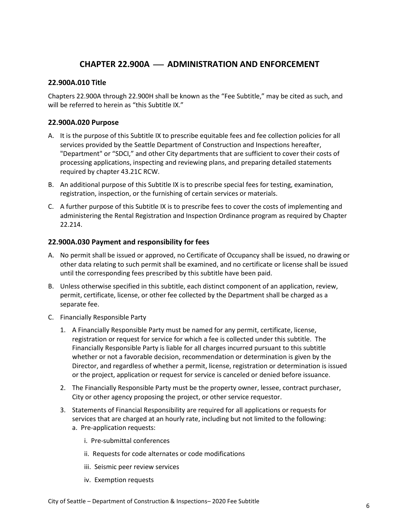# **CHAPTER 22.900A** ⎯ **ADMINISTRATION AND ENFORCEMENT**

### <span id="page-5-1"></span><span id="page-5-0"></span>**22.900A.010 Title**

Chapters 22.900A through 22.900H shall be known as the "Fee Subtitle," may be cited as such, and will be referred to herein as "this Subtitle IX."

### <span id="page-5-2"></span>**22.900A.020 Purpose**

- A. It is the purpose of this Subtitle IX to prescribe equitable fees and fee collection policies for all services provided by the Seattle Department of Construction and Inspections hereafter, "Department" or "SDCI," and other City departments that are sufficient to cover their costs of processing applications, inspecting and reviewing plans, and preparing detailed statements required by chapter 43.21C RCW.
- B. An additional purpose of this Subtitle IX is to prescribe special fees for testing, examination, registration, inspection, or the furnishing of certain services or materials.
- C. A further purpose of this Subtitle IX is to prescribe fees to cover the costs of implementing and administering the Rental Registration and Inspection Ordinance program as required by Chapter 22.214.

### <span id="page-5-3"></span>**22.900A.030 Payment and responsibility for fees**

- A. No permit shall be issued or approved, no Certificate of Occupancy shall be issued, no drawing or other data relating to such permit shall be examined, and no certificate or license shall be issued until the corresponding fees prescribed by this subtitle have been paid.
- B. Unless otherwise specified in this subtitle, each distinct component of an application, review, permit, certificate, license, or other fee collected by the Department shall be charged as a separate fee.
- C. Financially Responsible Party
	- 1. A Financially Responsible Party must be named for any permit, certificate, license, registration or request for service for which a fee is collected under this subtitle. The Financially Responsible Party is liable for all charges incurred pursuant to this subtitle whether or not a favorable decision, recommendation or determination is given by the Director, and regardless of whether a permit, license, registration or determination is issued or the project, application or request for service is canceled or denied before issuance.
	- 2. The Financially Responsible Party must be the property owner, lessee, contract purchaser, City or other agency proposing the project, or other service requestor.
	- 3. Statements of Financial Responsibility are required for all applications or requests for services that are charged at an hourly rate, including but not limited to the following: a. Pre-application requests:
		- i. Pre-submittal conferences
		- ii. Requests for code alternates or code modifications
		- iii. Seismic peer review services
		- iv. Exemption requests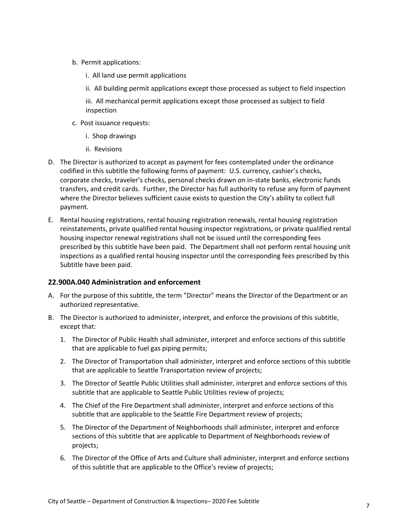- b. Permit applications:
	- i. All land use permit applications
	- ii. All building permit applications except those processed as subject to field inspection

iii. All mechanical permit applications except those processed as subject to field inspection

- c. Post issuance requests:
	- i. Shop drawings
	- ii. Revisions
- D. The Director is authorized to accept as payment for fees contemplated under the ordinance codified in this subtitle the following forms of payment: U.S. currency, cashier's checks, corporate checks, traveler's checks, personal checks drawn on in-state banks, electronic funds transfers, and credit cards. Further, the Director has full authority to refuse any form of payment where the Director believes sufficient cause exists to question the City's ability to collect full payment.
- E. Rental housing registrations, rental housing registration renewals, rental housing registration reinstatements, private qualified rental housing inspector registrations, or private qualified rental housing inspector renewal registrations shall not be issued until the corresponding fees prescribed by this subtitle have been paid. The Department shall not perform rental housing unit inspections as a qualified rental housing inspector until the corresponding fees prescribed by this Subtitle have been paid.

# <span id="page-6-0"></span>**22.900A.040 Administration and enforcement**

- A. For the purpose of this subtitle, the term "Director" means the Director of the Department or an authorized representative.
- B. The Director is authorized to administer, interpret, and enforce the provisions of this subtitle, except that:
	- 1. The Director of Public Health shall administer, interpret and enforce sections of this subtitle that are applicable to fuel gas piping permits;
	- 2. The Director of Transportation shall administer, interpret and enforce sections of this subtitle that are applicable to Seattle Transportation review of projects;
	- 3. The Director of Seattle Public Utilities shall administer, interpret and enforce sections of this subtitle that are applicable to Seattle Public Utilities review of projects;
	- 4. The Chief of the Fire Department shall administer, interpret and enforce sections of this subtitle that are applicable to the Seattle Fire Department review of projects;
	- 5. The Director of the Department of Neighborhoods shall administer, interpret and enforce sections of this subtitle that are applicable to Department of Neighborhoods review of projects;
	- 6. The Director of the Office of Arts and Culture shall administer, interpret and enforce sections of this subtitle that are applicable to the Office's review of projects;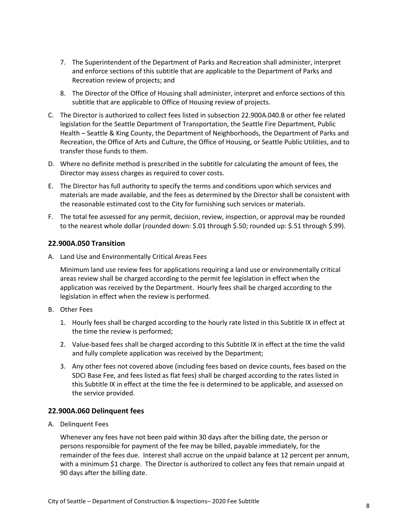- 7. The Superintendent of the Department of Parks and Recreation shall administer, interpret and enforce sections of this subtitle that are applicable to the Department of Parks and Recreation review of projects; and
- 8. The Director of the Office of Housing shall administer, interpret and enforce sections of this subtitle that are applicable to Office of Housing review of projects.
- C. The Director is authorized to collect fees listed in subsection 22.900A.040.B or other fee related legislation for the Seattle Department of Transportation, the Seattle Fire Department, Public Health – Seattle & King County, the Department of Neighborhoods, the Department of Parks and Recreation, the Office of Arts and Culture, the Office of Housing, or Seattle Public Utilities, and to transfer those funds to them.
- D. Where no definite method is prescribed in the subtitle for calculating the amount of fees, the Director may assess charges as required to cover costs.
- E. The Director has full authority to specify the terms and conditions upon which services and materials are made available, and the fees as determined by the Director shall be consistent with the reasonable estimated cost to the City for furnishing such services or materials.
- F. The total fee assessed for any permit, decision, review, inspection, or approval may be rounded to the nearest whole dollar (rounded down: \$.01 through \$.50; rounded up: \$.51 through \$.99).

### <span id="page-7-0"></span>**22.900A.050 Transition**

A. Land Use and Environmentally Critical Areas Fees

Minimum land use review fees for applications requiring a land use or environmentally critical areas review shall be charged according to the permit fee legislation in effect when the application was received by the Department. Hourly fees shall be charged according to the legislation in effect when the review is performed.

- B. Other Fees
	- 1. Hourly fees shall be charged according to the hourly rate listed in this Subtitle IX in effect at the time the review is performed;
	- 2. Value-based fees shall be charged according to this Subtitle IX in effect at the time the valid and fully complete application was received by the Department;
	- 3. Any other fees not covered above (including fees based on device counts, fees based on the SDCI Base Fee, and fees listed as flat fees) shall be charged according to the rates listed in this Subtitle IX in effect at the time the fee is determined to be applicable, and assessed on the service provided.

### <span id="page-7-1"></span>**22.900A.060 Delinquent fees**

A. Delinquent Fees

Whenever any fees have not been paid within 30 days after the billing date, the person or persons responsible for payment of the fee may be billed, payable immediately, for the remainder of the fees due. Interest shall accrue on the unpaid balance at 12 percent per annum, with a minimum \$1 charge. The Director is authorized to collect any fees that remain unpaid at 90 days after the billing date.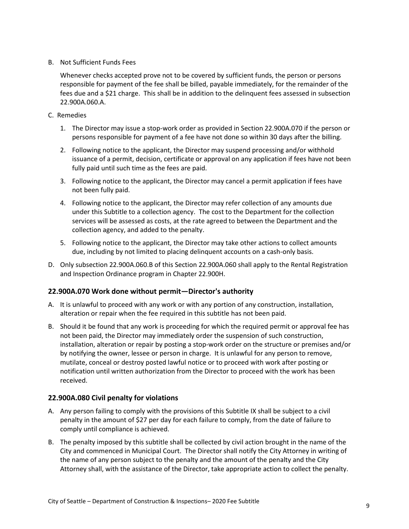B. Not Sufficient Funds Fees

Whenever checks accepted prove not to be covered by sufficient funds, the person or persons responsible for payment of the fee shall be billed, payable immediately, for the remainder of the fees due and a \$21 charge. This shall be in addition to the delinquent fees assessed in subsection 22.900A.060.A.

- C. Remedies
	- 1. The Director may issue a stop-work order as provided in Section 22.900A.070 if the person or persons responsible for payment of a fee have not done so within 30 days after the billing.
	- 2. Following notice to the applicant, the Director may suspend processing and/or withhold issuance of a permit, decision, certificate or approval on any application if fees have not been fully paid until such time as the fees are paid.
	- 3. Following notice to the applicant, the Director may cancel a permit application if fees have not been fully paid.
	- 4. Following notice to the applicant, the Director may refer collection of any amounts due under this Subtitle to a collection agency. The cost to the Department for the collection services will be assessed as costs, at the rate agreed to between the Department and the collection agency, and added to the penalty.
	- 5. Following notice to the applicant, the Director may take other actions to collect amounts due, including by not limited to placing delinquent accounts on a cash-only basis.
- D. Only subsection 22.900A.060.B of this Section 22.900A.060 shall apply to the Rental Registration and Inspection Ordinance program in Chapter 22.900H.

# <span id="page-8-0"></span>**22.900A.070 Work done without permit—Director's authority**

- A. It is unlawful to proceed with any work or with any portion of any construction, installation, alteration or repair when the fee required in this subtitle has not been paid.
- B. Should it be found that any work is proceeding for which the required permit or approval fee has not been paid, the Director may immediately order the suspension of such construction, installation, alteration or repair by posting a stop-work order on the structure or premises and/or by notifying the owner, lessee or person in charge. It is unlawful for any person to remove, mutilate, conceal or destroy posted lawful notice or to proceed with work after posting or notification until written authorization from the Director to proceed with the work has been received.

### <span id="page-8-1"></span>**22.900A.080 Civil penalty for violations**

- A. Any person failing to comply with the provisions of this Subtitle IX shall be subject to a civil penalty in the amount of \$27 per day for each failure to comply, from the date of failure to comply until compliance is achieved.
- B. The penalty imposed by this subtitle shall be collected by civil action brought in the name of the City and commenced in Municipal Court. The Director shall notify the City Attorney in writing of the name of any person subject to the penalty and the amount of the penalty and the City Attorney shall, with the assistance of the Director, take appropriate action to collect the penalty.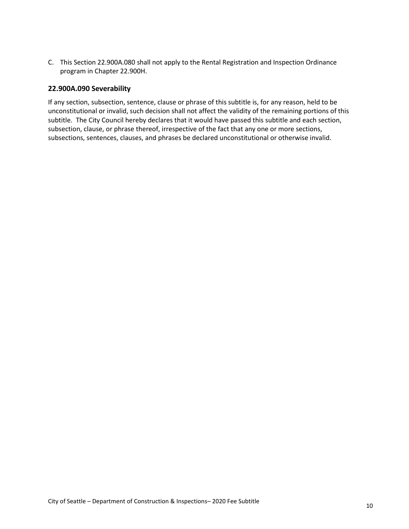C. This Section 22.900A.080 shall not apply to the Rental Registration and Inspection Ordinance program in Chapter 22.900H.

### <span id="page-9-0"></span>**22.900A.090 Severability**

If any section, subsection, sentence, clause or phrase of this subtitle is, for any reason, held to be unconstitutional or invalid, such decision shall not affect the validity of the remaining portions of this subtitle. The City Council hereby declares that it would have passed this subtitle and each section, subsection, clause, or phrase thereof, irrespective of the fact that any one or more sections, subsections, sentences, clauses, and phrases be declared unconstitutional or otherwise invalid.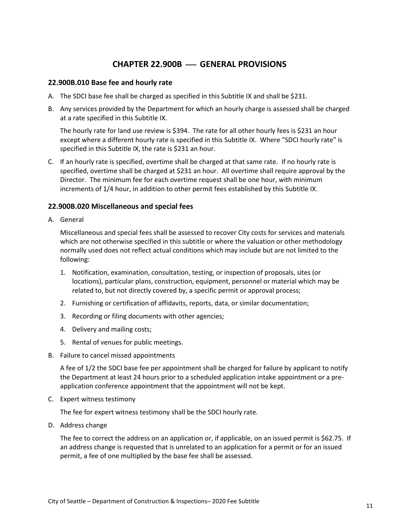# **CHAPTER 22.900B** ⎯ **GENERAL PROVISIONS**

### <span id="page-10-1"></span><span id="page-10-0"></span>**22.900B.010 Base fee and hourly rate**

- A. The SDCI base fee shall be charged as specified in this Subtitle IX and shall be \$231.
- B. Any services provided by the Department for which an hourly charge is assessed shall be charged at a rate specified in this Subtitle IX.

The hourly rate for land use review is \$394. The rate for all other hourly fees is \$231 an hour except where a different hourly rate is specified in this Subtitle IX. Where "SDCI hourly rate" is specified in this Subtitle IX, the rate is \$231 an hour.

C. If an hourly rate is specified, overtime shall be charged at that same rate. If no hourly rate is specified, overtime shall be charged at \$231 an hour. All overtime shall require approval by the Director. The minimum fee for each overtime request shall be one hour, with minimum increments of 1/4 hour, in addition to other permit fees established by this Subtitle IX.

### <span id="page-10-2"></span>**22.900B.020 Miscellaneous and special fees**

A. General

Miscellaneous and special fees shall be assessed to recover City costs for services and materials which are not otherwise specified in this subtitle or where the valuation or other methodology normally used does not reflect actual conditions which may include but are not limited to the following:

- 1. Notification, examination, consultation, testing, or inspection of proposals, sites (or locations), particular plans, construction, equipment, personnel or material which may be related to, but not directly covered by, a specific permit or approval process;
- 2. Furnishing or certification of affidavits, reports, data, or similar documentation;
- 3. Recording or filing documents with other agencies;
- 4. Delivery and mailing costs;
- 5. Rental of venues for public meetings.
- B. Failure to cancel missed appointments

A fee of 1/2 the SDCI base fee per appointment shall be charged for failure by applicant to notify the Department at least 24 hours prior to a scheduled application intake appointment or a preapplication conference appointment that the appointment will not be kept.

C. Expert witness testimony

The fee for expert witness testimony shall be the SDCI hourly rate.

D. Address change

The fee to correct the address on an application or, if applicable, on an issued permit is \$62.75. If an address change is requested that is unrelated to an application for a permit or for an issued permit, a fee of one multiplied by the base fee shall be assessed.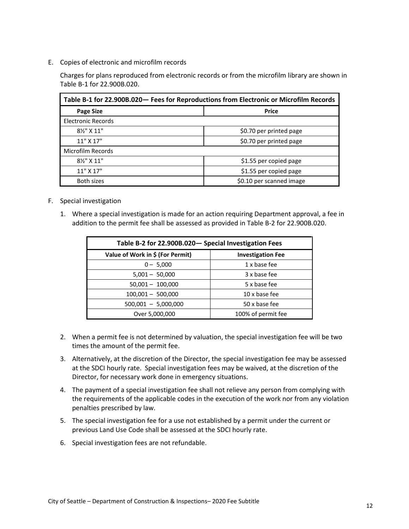E. Copies of electronic and microfilm records

Charges for plans reproduced from electronic records or from the microfilm library are shown in Table B-1 for 22.900B.020.

<span id="page-11-0"></span>

| Table B-1 for 22.900B.020 - Fees for Reproductions from Electronic or Microfilm Records |                         |  |  |
|-----------------------------------------------------------------------------------------|-------------------------|--|--|
| <b>Page Size</b>                                                                        | <b>Price</b>            |  |  |
| Electronic Records                                                                      |                         |  |  |
| 81/2" X 11"                                                                             | \$0.70 per printed page |  |  |
| $11"$ X $17"$                                                                           | \$0.70 per printed page |  |  |
| Microfilm Records                                                                       |                         |  |  |
| 81/2" X 11"<br>\$1.55 per copied page                                                   |                         |  |  |
| $11"$ X $17"$<br>\$1.55 per copied page                                                 |                         |  |  |
| \$0.10 per scanned image<br>Both sizes                                                  |                         |  |  |

- F. Special investigation
	- 1. Where a special investigation is made for an action requiring Department approval, a fee in addition to the permit fee shall be assessed as provided in Table B-2 for 22.900B.020.

<span id="page-11-1"></span>

| Table B-2 for 22.900B.020 - Special Investigation Fees |                          |  |  |
|--------------------------------------------------------|--------------------------|--|--|
| Value of Work in \$ (For Permit)                       | <b>Investigation Fee</b> |  |  |
| $0 - 5,000$                                            | 1 x base fee             |  |  |
| $5,001 - 50,000$                                       | 3 x base fee             |  |  |
| $50,001 - 100,000$                                     | 5 x base fee             |  |  |
| $100,001 - 500,000$                                    | 10 x base fee            |  |  |
| $500,001 - 5,000,000$                                  | 50 x base fee            |  |  |
| 100% of permit fee<br>Over 5,000,000                   |                          |  |  |

- 2. When a permit fee is not determined by valuation, the special investigation fee will be two times the amount of the permit fee.
- 3. Alternatively, at the discretion of the Director, the special investigation fee may be assessed at the SDCI hourly rate. Special investigation fees may be waived, at the discretion of the Director, for necessary work done in emergency situations.
- 4. The payment of a special investigation fee shall not relieve any person from complying with the requirements of the applicable codes in the execution of the work nor from any violation penalties prescribed by law.
- 5. The special investigation fee for a use not established by a permit under the current or previous Land Use Code shall be assessed at the SDCI hourly rate.
- 6. Special investigation fees are not refundable.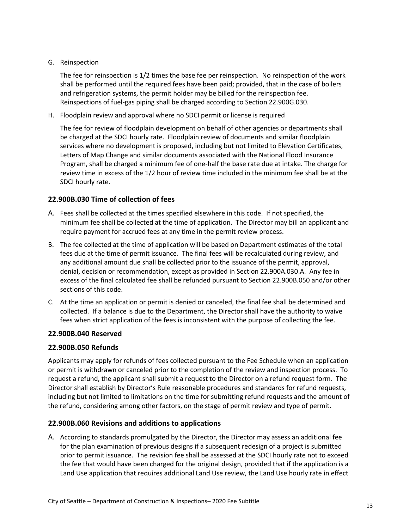### G. Reinspection

The fee for reinspection is 1/2 times the base fee per reinspection. No reinspection of the work shall be performed until the required fees have been paid; provided, that in the case of boilers and refrigeration systems, the permit holder may be billed for the reinspection fee. Reinspections of fuel-gas piping shall be charged according to Section 22.900G.030.

H. Floodplain review and approval where no SDCI permit or license is required

The fee for review of floodplain development on behalf of other agencies or departments shall be charged at the SDCI hourly rate. Floodplain review of documents and similar floodplain services where no development is proposed, including but not limited to Elevation Certificates, Letters of Map Change and similar documents associated with the National Flood Insurance Program, shall be charged a minimum fee of one-half the base rate due at intake. The charge for review time in excess of the 1/2 hour of review time included in the minimum fee shall be at the SDCI hourly rate.

# <span id="page-12-0"></span>**22.900B.030 Time of collection of fees**

- A. Fees shall be collected at the times specified elsewhere in this code. If not specified, the minimum fee shall be collected at the time of application. The Director may bill an applicant and require payment for accrued fees at any time in the permit review process.
- B. The fee collected at the time of application will be based on Department estimates of the total fees due at the time of permit issuance. The final fees will be recalculated during review, and any additional amount due shall be collected prior to the issuance of the permit, approval, denial, decision or recommendation, except as provided in Section 22.900A.030.A. Any fee in excess of the final calculated fee shall be refunded pursuant to Section 22.900B.050 and/or other sections of this code.
- C. At the time an application or permit is denied or canceled, the final fee shall be determined and collected. If a balance is due to the Department, the Director shall have the authority to waive fees when strict application of the fees is inconsistent with the purpose of collecting the fee.

# <span id="page-12-1"></span>**22.900B.040 Reserved**

# <span id="page-12-2"></span>**22.900B.050 Refunds**

Applicants may apply for refunds of fees collected pursuant to the Fee Schedule when an application or permit is withdrawn or canceled prior to the completion of the review and inspection process. To request a refund, the applicant shall submit a request to the Director on a refund request form. The Director shall establish by Director's Rule reasonable procedures and standards for refund requests, including but not limited to limitations on the time for submitting refund requests and the amount of the refund, considering among other factors, on the stage of permit review and type of permit.

# <span id="page-12-3"></span>**22.900B.060 Revisions and additions to applications**

A. According to standards promulgated by the Director, the Director may assess an additional fee for the plan examination of previous designs if a subsequent redesign of a project is submitted prior to permit issuance. The revision fee shall be assessed at the SDCI hourly rate not to exceed the fee that would have been charged for the original design, provided that if the application is a Land Use application that requires additional Land Use review, the Land Use hourly rate in effect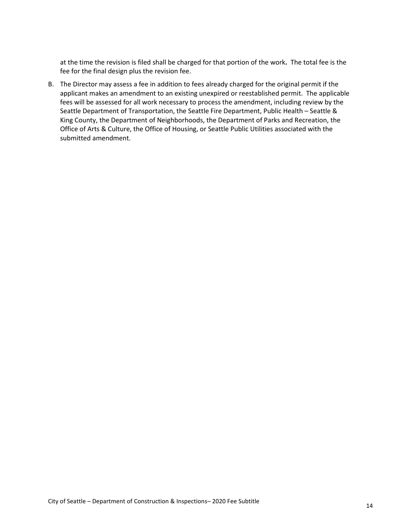at the time the revision is filed shall be charged for that portion of the work**.** The total fee is the fee for the final design plus the revision fee.

B. The Director may assess a fee in addition to fees already charged for the original permit if the applicant makes an amendment to an existing unexpired or reestablished permit. The applicable fees will be assessed for all work necessary to process the amendment, including review by the Seattle Department of Transportation, the Seattle Fire Department, Public Health – Seattle & King County, the Department of Neighborhoods, the Department of Parks and Recreation, the Office of Arts & Culture, the Office of Housing, or Seattle Public Utilities associated with the submitted amendment.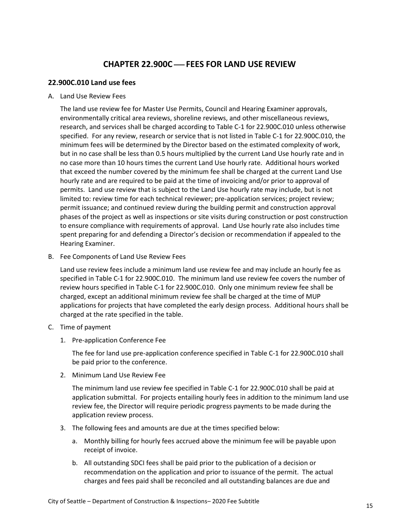# **CHAPTER 22.900C** ⎯ **FEES FOR LAND USE REVIEW**

### <span id="page-14-1"></span><span id="page-14-0"></span>**22.900C.010 Land use fees**

A. Land Use Review Fees

The land use review fee for Master Use Permits, Council and Hearing Examiner approvals, environmentally critical area reviews, shoreline reviews, and other miscellaneous reviews, research, and services shall be charged according to Table C-1 for 22.900C.010 unless otherwise specified. For any review, research or service that is not listed in Table C-1 for 22.900C.010, the minimum fees will be determined by the Director based on the estimated complexity of work, but in no case shall be less than 0.5 hours multiplied by the current Land Use hourly rate and in no case more than 10 hours times the current Land Use hourly rate. Additional hours worked that exceed the number covered by the minimum fee shall be charged at the current Land Use hourly rate and are required to be paid at the time of invoicing and/or prior to approval of permits. Land use review that is subject to the Land Use hourly rate may include, but is not limited to: review time for each technical reviewer; pre-application services; project review; permit issuance; and continued review during the building permit and construction approval phases of the project as well as inspections or site visits during construction or post construction to ensure compliance with requirements of approval. Land Use hourly rate also includes time spent preparing for and defending a Director's decision or recommendation if appealed to the Hearing Examiner.

B. Fee Components of Land Use Review Fees

Land use review fees include a minimum land use review fee and may include an hourly fee as specified in Table C-1 for 22.900C.010. The minimum land use review fee covers the number of review hours specified in Table C-1 for 22.900C.010. Only one minimum review fee shall be charged, except an additional minimum review fee shall be charged at the time of MUP applications for projects that have completed the early design process. Additional hours shall be charged at the rate specified in the table.

- C. Time of payment
	- 1. Pre-application Conference Fee

The fee for land use pre-application conference specified in Table C-1 for 22.900C.010 shall be paid prior to the conference.

2. Minimum Land Use Review Fee

The minimum land use review fee specified in Table C-1 for 22.900C.010 shall be paid at application submittal. For projects entailing hourly fees in addition to the minimum land use review fee, the Director will require periodic progress payments to be made during the application review process.

- 3. The following fees and amounts are due at the times specified below:
	- a. Monthly billing for hourly fees accrued above the minimum fee will be payable upon receipt of invoice.
	- b. All outstanding SDCI fees shall be paid prior to the publication of a decision or recommendation on the application and prior to issuance of the permit. The actual charges and fees paid shall be reconciled and all outstanding balances are due and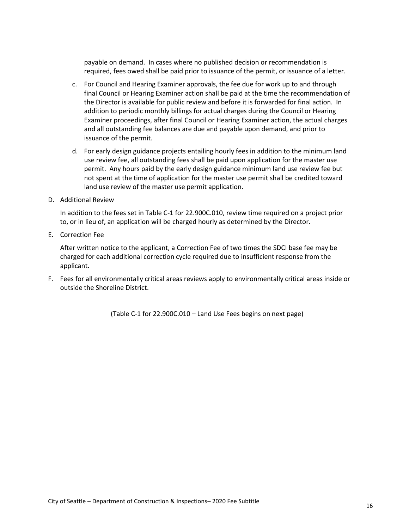payable on demand. In cases where no published decision or recommendation is required, fees owed shall be paid prior to issuance of the permit, or issuance of a letter.

- c. For Council and Hearing Examiner approvals, the fee due for work up to and through final Council or Hearing Examiner action shall be paid at the time the recommendation of the Director is available for public review and before it is forwarded for final action. In addition to periodic monthly billings for actual charges during the Council or Hearing Examiner proceedings, after final Council or Hearing Examiner action, the actual charges and all outstanding fee balances are due and payable upon demand, and prior to issuance of the permit.
- d. For early design guidance projects entailing hourly fees in addition to the minimum land use review fee, all outstanding fees shall be paid upon application for the master use permit. Any hours paid by the early design guidance minimum land use review fee but not spent at the time of application for the master use permit shall be credited toward land use review of the master use permit application.
- D. Additional Review

In addition to the fees set in Table C-1 for 22.900C.010, review time required on a project prior to, or in lieu of, an application will be charged hourly as determined by the Director.

E. Correction Fee

After written notice to the applicant, a Correction Fee of two times the SDCI base fee may be charged for each additional correction cycle required due to insufficient response from the applicant.

F. Fees for all environmentally critical areas reviews apply to environmentally critical areas inside or outside the Shoreline District.

(Table C-1 for 22.900C.010 – Land Use Fees begins on next page)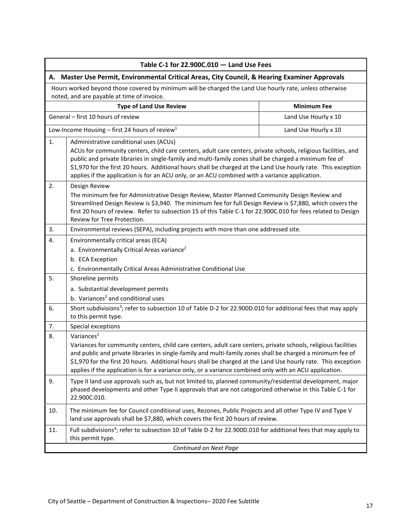<span id="page-16-1"></span><span id="page-16-0"></span>

| Table C-1 for 22.900C.010 - Land Use Fees                                                                                                             |                                                                                                                                                                                                                                                                                                                                                                                                                                                                                       |  |  |  |  |
|-------------------------------------------------------------------------------------------------------------------------------------------------------|---------------------------------------------------------------------------------------------------------------------------------------------------------------------------------------------------------------------------------------------------------------------------------------------------------------------------------------------------------------------------------------------------------------------------------------------------------------------------------------|--|--|--|--|
| A. Master Use Permit, Environmental Critical Areas, City Council, & Hearing Examiner Approvals                                                        |                                                                                                                                                                                                                                                                                                                                                                                                                                                                                       |  |  |  |  |
| Hours worked beyond those covered by minimum will be charged the Land Use hourly rate, unless otherwise<br>noted, and are payable at time of invoice. |                                                                                                                                                                                                                                                                                                                                                                                                                                                                                       |  |  |  |  |
|                                                                                                                                                       | <b>Type of Land Use Review</b><br><b>Minimum Fee</b>                                                                                                                                                                                                                                                                                                                                                                                                                                  |  |  |  |  |
|                                                                                                                                                       | General - first 10 hours of review<br>Land Use Hourly x 10                                                                                                                                                                                                                                                                                                                                                                                                                            |  |  |  |  |
|                                                                                                                                                       | Low-Income Housing - first 24 hours of review <sup>1</sup><br>Land Use Hourly x 10                                                                                                                                                                                                                                                                                                                                                                                                    |  |  |  |  |
| 1.                                                                                                                                                    | Administrative conditional uses (ACUs)<br>ACUs for community centers, child care centers, adult care centers, private schools, religious facilities, and<br>public and private libraries in single-family and multi-family zones shall be charged a minimum fee of<br>\$1,970 for the first 20 hours. Additional hours shall be charged at the Land Use hourly rate. This exception<br>applies if the application is for an ACU only, or an ACU combined with a variance application. |  |  |  |  |
| 2.                                                                                                                                                    | Design Review<br>The minimum fee for Administrative Design Review, Master Planned Community Design Review and<br>Streamlined Design Review is \$3,940. The minimum fee for full Design Review is \$7,880, which covers the<br>first 20 hours of review. Refer to subsection 15 of this Table C-1 for 22.900C.010 for fees related to Design<br>Review for Tree Protection.                                                                                                            |  |  |  |  |
| 3.                                                                                                                                                    | Environmental reviews (SEPA), including projects with more than one addressed site.                                                                                                                                                                                                                                                                                                                                                                                                   |  |  |  |  |
| 4.                                                                                                                                                    | Environmentally critical areas (ECA)<br>a. Environmentally Critical Areas variance <sup>2</sup><br>b. ECA Exception<br>c. Environmentally Critical Areas Administrative Conditional Use                                                                                                                                                                                                                                                                                               |  |  |  |  |
| 5.                                                                                                                                                    | Shoreline permits<br>a. Substantial development permits                                                                                                                                                                                                                                                                                                                                                                                                                               |  |  |  |  |
|                                                                                                                                                       | b. Variances <sup>2</sup> and conditional uses                                                                                                                                                                                                                                                                                                                                                                                                                                        |  |  |  |  |
| 6.                                                                                                                                                    | Short subdivisions <sup>3</sup> ; refer to subsection 10 of Table D-2 for 22.900D.010 for additional fees that may apply<br>to this permit type.                                                                                                                                                                                                                                                                                                                                      |  |  |  |  |
| 7.                                                                                                                                                    | Special exceptions                                                                                                                                                                                                                                                                                                                                                                                                                                                                    |  |  |  |  |
| 8.                                                                                                                                                    | Variances <sup>2</sup><br>Variances for community centers, child care centers, adult care centers, private schools, religious facilities<br>and public and private libraries in single-family and multi-family zones shall be charged a minimum fee of<br>\$1,970 for the first 20 hours. Additional hours shall be charged at the Land Use hourly rate. This exception<br>applies if the application is for a variance only, or a variance combined only with an ACU application.    |  |  |  |  |
| 9.                                                                                                                                                    | Type II land use approvals such as, but not limited to, planned community/residential development, major<br>phased developments and other Type II approvals that are not categorized otherwise in this Table C-1 for<br>22.900C.010.                                                                                                                                                                                                                                                  |  |  |  |  |
| 10.                                                                                                                                                   | The minimum fee for Council conditional uses, Rezones, Public Projects and all other Type IV and Type V<br>land use approvals shall be \$7,880, which covers the first 20 hours of review.                                                                                                                                                                                                                                                                                            |  |  |  |  |
| 11.                                                                                                                                                   | Full subdivisions <sup>4</sup> ; refer to subsection 10 of Table D-2 for 22.900D.010 for additional fees that may apply to<br>this permit type.                                                                                                                                                                                                                                                                                                                                       |  |  |  |  |
| Continued on Next Page                                                                                                                                |                                                                                                                                                                                                                                                                                                                                                                                                                                                                                       |  |  |  |  |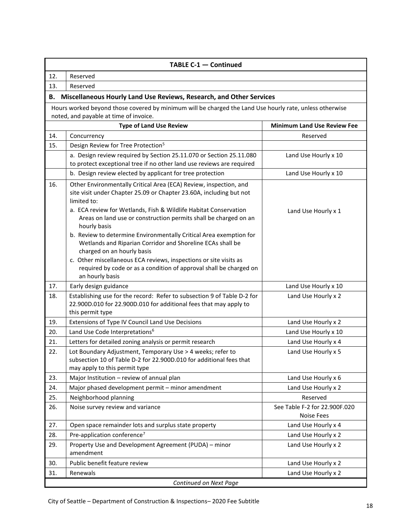<span id="page-17-0"></span>

| TABLE C-1 - Continued  |                                                                                                                                                                                                                                                                                                                              |                                                    |  |  |
|------------------------|------------------------------------------------------------------------------------------------------------------------------------------------------------------------------------------------------------------------------------------------------------------------------------------------------------------------------|----------------------------------------------------|--|--|
| 12.                    | Reserved                                                                                                                                                                                                                                                                                                                     |                                                    |  |  |
| 13.                    | Reserved                                                                                                                                                                                                                                                                                                                     |                                                    |  |  |
|                        | B. Miscellaneous Hourly Land Use Reviews, Research, and Other Services                                                                                                                                                                                                                                                       |                                                    |  |  |
|                        | Hours worked beyond those covered by minimum will be charged the Land Use hourly rate, unless otherwise                                                                                                                                                                                                                      |                                                    |  |  |
|                        | noted, and payable at time of invoice.                                                                                                                                                                                                                                                                                       |                                                    |  |  |
|                        | <b>Type of Land Use Review</b>                                                                                                                                                                                                                                                                                               | <b>Minimum Land Use Review Fee</b>                 |  |  |
| 14.                    | Concurrency                                                                                                                                                                                                                                                                                                                  | Reserved                                           |  |  |
| 15.                    | Design Review for Tree Protection <sup>5</sup>                                                                                                                                                                                                                                                                               |                                                    |  |  |
|                        | a. Design review required by Section 25.11.070 or Section 25.11.080<br>to protect exceptional tree if no other land use reviews are required                                                                                                                                                                                 | Land Use Hourly x 10                               |  |  |
|                        | b. Design review elected by applicant for tree protection                                                                                                                                                                                                                                                                    | Land Use Hourly x 10                               |  |  |
| 16.                    | Other Environmentally Critical Area (ECA) Review, inspection, and<br>site visit under Chapter 25.09 or Chapter 23.60A, including but not<br>limited to:<br>a. ECA review for Wetlands, Fish & Wildlife Habitat Conservation<br>Areas on land use or construction permits shall be charged on an<br>hourly basis              | Land Use Hourly x 1                                |  |  |
|                        | b. Review to determine Environmentally Critical Area exemption for<br>Wetlands and Riparian Corridor and Shoreline ECAs shall be<br>charged on an hourly basis<br>c. Other miscellaneous ECA reviews, inspections or site visits as<br>required by code or as a condition of approval shall be charged on<br>an hourly basis |                                                    |  |  |
| 17.                    | Early design guidance                                                                                                                                                                                                                                                                                                        | Land Use Hourly x 10                               |  |  |
| 18.                    | Establishing use for the record: Refer to subsection 9 of Table D-2 for<br>22.900D.010 for 22.900D.010 for additional fees that may apply to<br>this permit type                                                                                                                                                             | Land Use Hourly x 2                                |  |  |
| 19.                    | Extensions of Type IV Council Land Use Decisions                                                                                                                                                                                                                                                                             | Land Use Hourly x 2                                |  |  |
| 20.                    | Land Use Code Interpretations <sup>6</sup>                                                                                                                                                                                                                                                                                   | Land Use Hourly x 10                               |  |  |
| 21.                    | Letters for detailed zoning analysis or permit research                                                                                                                                                                                                                                                                      | Land Use Hourly x 4                                |  |  |
| 22.                    | Lot Boundary Adjustment, Temporary Use > 4 weeks; refer to<br>subsection 10 of Table D-2 for 22.900D.010 for additional fees that<br>may apply to this permit type                                                                                                                                                           | Land Use Hourly x 5                                |  |  |
| 23.                    | Major Institution - review of annual plan                                                                                                                                                                                                                                                                                    | Land Use Hourly x 6                                |  |  |
| 24.                    | Major phased development permit - minor amendment                                                                                                                                                                                                                                                                            | Land Use Hourly x 2                                |  |  |
| 25.                    | Neighborhood planning                                                                                                                                                                                                                                                                                                        | Reserved                                           |  |  |
| 26.                    | Noise survey review and variance                                                                                                                                                                                                                                                                                             | See Table F-2 for 22.900F.020<br><b>Noise Fees</b> |  |  |
| 27.                    | Open space remainder lots and surplus state property                                                                                                                                                                                                                                                                         | Land Use Hourly x 4                                |  |  |
| 28.                    | Pre-application conference <sup>7</sup>                                                                                                                                                                                                                                                                                      | Land Use Hourly x 2                                |  |  |
| 29.                    | Property Use and Development Agreement (PUDA) - minor<br>amendment                                                                                                                                                                                                                                                           | Land Use Hourly x 2                                |  |  |
| 30.                    | Public benefit feature review                                                                                                                                                                                                                                                                                                | Land Use Hourly x 2                                |  |  |
| 31.                    | Renewals                                                                                                                                                                                                                                                                                                                     | Land Use Hourly x 2                                |  |  |
| Continued on Next Page |                                                                                                                                                                                                                                                                                                                              |                                                    |  |  |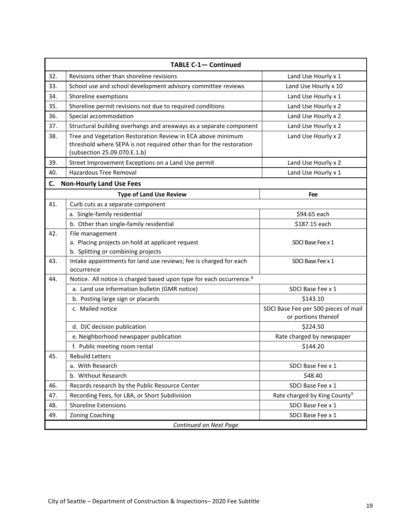<span id="page-18-0"></span>

| <b>TABLE C-1- Continued</b> |                                                                                                                                                                    |                                                             |  |
|-----------------------------|--------------------------------------------------------------------------------------------------------------------------------------------------------------------|-------------------------------------------------------------|--|
| 32.                         | Revisions other than shoreline revisions                                                                                                                           | Land Use Hourly x 1                                         |  |
| 33.                         | School use and school development advisory committee reviews                                                                                                       | Land Use Hourly x 10                                        |  |
| 34.                         | Shoreline exemptions                                                                                                                                               | Land Use Hourly x 1                                         |  |
| 35.                         | Shoreline permit revisions not due to required conditions                                                                                                          | Land Use Hourly x 2                                         |  |
| 36.                         | Special accommodation                                                                                                                                              | Land Use Hourly x 2                                         |  |
| 37.                         | Structural building overhangs and areaways as a separate component                                                                                                 | Land Use Hourly x 2                                         |  |
| 38.                         | Tree and Vegetation Restoration Review in ECA above minimum<br>threshold where SEPA is not required other than for the restoration<br>(subsection 25.09.070.E.1.b) | Land Use Hourly x 2                                         |  |
| 39.                         | Street Improvement Exceptions on a Land Use permit                                                                                                                 | Land Use Hourly x 2                                         |  |
| 40.                         | <b>Hazardous Tree Removal</b>                                                                                                                                      | Land Use Hourly x 1                                         |  |
| C.                          | <b>Non-Hourly Land Use Fees</b>                                                                                                                                    |                                                             |  |
|                             | <b>Type of Land Use Review</b>                                                                                                                                     | Fee                                                         |  |
| 41.                         | Curb cuts as a separate component                                                                                                                                  |                                                             |  |
|                             | a. Single-family residential                                                                                                                                       | \$94.65 each                                                |  |
|                             | b. Other than single-family residential                                                                                                                            | \$187.15 each                                               |  |
| 42.                         | File management                                                                                                                                                    |                                                             |  |
|                             | a. Placing projects on hold at applicant request                                                                                                                   | SDCI Base Fee x 1                                           |  |
|                             | b. Splitting or combining projects                                                                                                                                 |                                                             |  |
| 43.                         | Intake appointments for land use reviews; fee is charged for each<br>occurrence                                                                                    | SDCI Base Fee x 1                                           |  |
| 44.                         | Notice. All notice is charged based upon type for each occurrence. <sup>8</sup>                                                                                    |                                                             |  |
|                             | a. Land use information bulletin (GMR notice)                                                                                                                      | SDCI Base Fee x 1                                           |  |
|                             | b. Posting large sign or placards                                                                                                                                  | \$143.10                                                    |  |
|                             | c. Mailed notice                                                                                                                                                   | SDCI Base Fee per 500 pieces of mail<br>or portions thereof |  |
|                             | d. DJC decision publication                                                                                                                                        | \$224.50                                                    |  |
|                             | e. Neighborhood newspaper publication                                                                                                                              | Rate charged by newspaper                                   |  |
|                             | f. Public meeting room rental                                                                                                                                      | \$144.20                                                    |  |
| 45.                         | Rebuild Letters                                                                                                                                                    |                                                             |  |
|                             | a. With Research                                                                                                                                                   | SDCI Base Fee x 1                                           |  |
|                             | b. Without Research                                                                                                                                                | \$48.40                                                     |  |
| 46.                         | Records research by the Public Resource Center                                                                                                                     | SDCI Base Fee x 1                                           |  |
| 47.                         | Recording Fees, for LBA, or Short Subdivision                                                                                                                      | Rate charged by King County <sup>9</sup>                    |  |
| 48.                         | <b>Shoreline Extensions</b>                                                                                                                                        | SDCI Base Fee x 1                                           |  |
| 49.                         | Zoning Coaching                                                                                                                                                    | SDCI Base Fee x 1                                           |  |
| Continued on Next Page      |                                                                                                                                                                    |                                                             |  |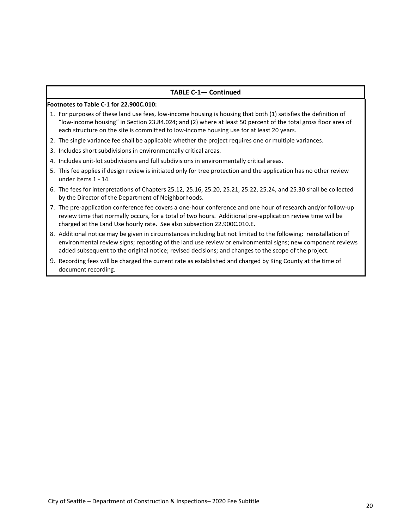#### **TABLE C-1— Continued**

#### **Footnotes to Table C-1 for 22.900C.010:**

- 1. For purposes of these land use fees, low-income housing is housing that both (1) satisfies the definition of "low-income housing" in Section 23.84.024; and (2) where at least 50 percent of the total gross floor area of each structure on the site is committed to low-income housing use for at least 20 years.
- 2. The single variance fee shall be applicable whether the project requires one or multiple variances.
- 3. Includes short subdivisions in environmentally critical areas.
- 4. Includes unit-lot subdivisions and full subdivisions in environmentally critical areas.
- 5. This fee applies if design review is initiated only for tree protection and the application has no other review under Items 1 - 14.
- 6. The fees for interpretations of Chapters 25.12, 25.16, 25.20, 25.21, 25.22, 25.24, and 25.30 shall be collected by the Director of the Department of Neighborhoods.
- 7. The pre-application conference fee covers a one-hour conference and one hour of research and/or follow-up review time that normally occurs, for a total of two hours. Additional pre-application review time will be charged at the Land Use hourly rate. See also subsection 22.900C.010.E.
- 8. Additional notice may be given in circumstances including but not limited to the following: reinstallation of environmental review signs; reposting of the land use review or environmental signs; new component reviews added subsequent to the original notice; revised decisions; and changes to the scope of the project.
- 9. Recording fees will be charged the current rate as established and charged by King County at the time of document recording.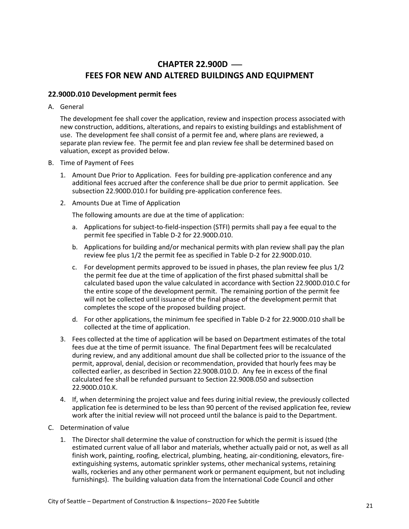# **CHAPTER 22.900D – FEES FOR NEW AND ALTERED BUILDINGS AND EQUIPMENT**

### <span id="page-20-1"></span><span id="page-20-0"></span>**22.900D.010 Development permit fees**

A. General

The development fee shall cover the application, review and inspection process associated with new construction, additions, alterations, and repairs to existing buildings and establishment of use. The development fee shall consist of a permit fee and, where plans are reviewed, a separate plan review fee. The permit fee and plan review fee shall be determined based on valuation, except as provided below.

- B. Time of Payment of Fees
	- 1. Amount Due Prior to Application. Fees for building pre-application conference and any additional fees accrued after the conference shall be due prior to permit application. See subsection 22.900D.010.I for building pre-application conference fees.
	- 2. Amounts Due at Time of Application

The following amounts are due at the time of application:

- a. Applications for subject-to-field-inspection (STFI) permits shall pay a fee equal to the permit fee specified in Table D-2 for 22.900D.010.
- b. Applications for building and/or mechanical permits with plan review shall pay the plan review fee plus 1/2 the permit fee as specified in Table D-2 for 22.900D.010.
- c. For development permits approved to be issued in phases, the plan review fee plus 1/2 the permit fee due at the time of application of the first phased submittal shall be calculated based upon the value calculated in accordance with Section 22.900D.010.C for the entire scope of the development permit. The remaining portion of the permit fee will not be collected until issuance of the final phase of the development permit that completes the scope of the proposed building project.
- d. For other applications, the minimum fee specified in Table D-2 for 22.900D.010 shall be collected at the time of application.
- 3. Fees collected at the time of application will be based on Department estimates of the total fees due at the time of permit issuance. The final Department fees will be recalculated during review, and any additional amount due shall be collected prior to the issuance of the permit, approval, denial, decision or recommendation, provided that hourly fees may be collected earlier, as described in Section 22.900B.010.D. Any fee in excess of the final calculated fee shall be refunded pursuant to Section 22.900B.050 and subsection 22.900D.010.K.
- 4. If, when determining the project value and fees during initial review, the previously collected application fee is determined to be less than 90 percent of the revised application fee, review work after the initial review will not proceed until the balance is paid to the Department.
- C. Determination of value
	- 1. The Director shall determine the value of construction for which the permit is issued (the estimated current value of all labor and materials, whether actually paid or not, as well as all finish work, painting, roofing, electrical, plumbing, heating, air-conditioning, elevators, fireextinguishing systems, automatic sprinkler systems, other mechanical systems, retaining walls, rockeries and any other permanent work or permanent equipment, but not including furnishings). The building valuation data from the International Code Council and other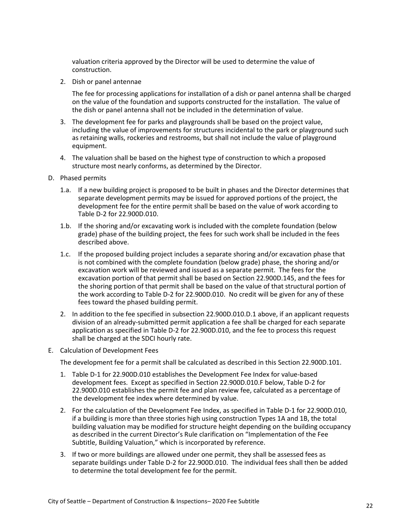valuation criteria approved by the Director will be used to determine the value of construction.

2. Dish or panel antennae

The fee for processing applications for installation of a dish or panel antenna shall be charged on the value of the foundation and supports constructed for the installation. The value of the dish or panel antenna shall not be included in the determination of value.

- 3. The development fee for parks and playgrounds shall be based on the project value, including the value of improvements for structures incidental to the park or playground such as retaining walls, rockeries and restrooms, but shall not include the value of playground equipment.
- 4. The valuation shall be based on the highest type of construction to which a proposed structure most nearly conforms, as determined by the Director.
- D. Phased permits
	- 1.a. If a new building project is proposed to be built in phases and the Director determines that separate development permits may be issued for approved portions of the project, the development fee for the entire permit shall be based on the value of work according to Table D-2 for 22.900D.010.
	- 1.b. If the shoring and/or excavating work is included with the complete foundation (below grade) phase of the building project, the fees for such work shall be included in the fees described above.
	- 1.c. If the proposed building project includes a separate shoring and/or excavation phase that is not combined with the complete foundation (below grade) phase, the shoring and/or excavation work will be reviewed and issued as a separate permit. The fees for the excavation portion of that permit shall be based on Section 22.900D.145, and the fees for the shoring portion of that permit shall be based on the value of that structural portion of the work according to Table D-2 for 22.900D.010. No credit will be given for any of these fees toward the phased building permit.
	- 2. In addition to the fee specified in subsection 22.900D.010.D.1 above, if an applicant requests division of an already-submitted permit application a fee shall be charged for each separate application as specified in Table D-2 for 22.900D.010, and the fee to process this request shall be charged at the SDCI hourly rate.
- E. Calculation of Development Fees

The development fee for a permit shall be calculated as described in this Section 22.900D.101.

- 1. Table D-1 for 22.900D.010 establishes the Development Fee Index for value-based development fees. Except as specified in Section 22.900D.010.F below, Table D-2 for 22.900D.010 establishes the permit fee and plan review fee, calculated as a percentage of the development fee index where determined by value.
- 2. For the calculation of the Development Fee Index, as specified in Table D-1 for 22.900D.010, if a building is more than three stories high using construction Types 1A and 1B, the total building valuation may be modified for structure height depending on the building occupancy as described in the current Director's Rule clarification on "Implementation of the Fee Subtitle, Building Valuation," which is incorporated by reference.
- 3. If two or more buildings are allowed under one permit, they shall be assessed fees as separate buildings under Table D-2 for 22.900D.010. The individual fees shall then be added to determine the total development fee for the permit.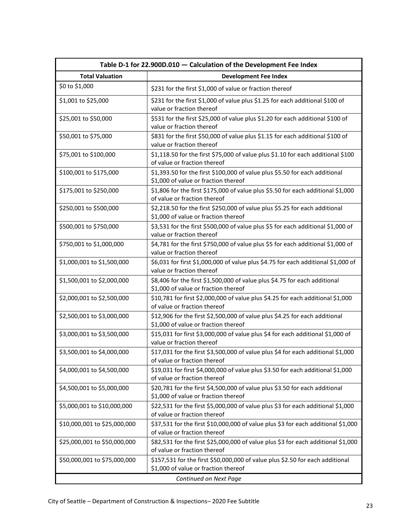<span id="page-22-0"></span>

| Table D-1 for 22.900D.010 - Calculation of the Development Fee Index |                                                                                                                       |  |  |
|----------------------------------------------------------------------|-----------------------------------------------------------------------------------------------------------------------|--|--|
| <b>Total Valuation</b>                                               | <b>Development Fee Index</b>                                                                                          |  |  |
| \$0 to \$1,000                                                       | \$231 for the first \$1,000 of value or fraction thereof                                                              |  |  |
| \$1,001 to \$25,000                                                  | \$231 for the first \$1,000 of value plus \$1.25 for each additional \$100 of<br>value or fraction thereof            |  |  |
| \$25,001 to \$50,000                                                 | \$531 for the first \$25,000 of value plus \$1.20 for each additional \$100 of<br>value or fraction thereof           |  |  |
| \$50,001 to \$75,000                                                 | \$831 for the first \$50,000 of value plus \$1.15 for each additional \$100 of<br>value or fraction thereof           |  |  |
| \$75,001 to \$100,000                                                | \$1,118.50 for the first \$75,000 of value plus \$1.10 for each additional \$100<br>of value or fraction thereof      |  |  |
| \$100,001 to \$175,000                                               | \$1,393.50 for the first \$100,000 of value plus \$5.50 for each additional<br>\$1,000 of value or fraction thereof   |  |  |
| \$175,001 to \$250,000                                               | \$1,806 for the first \$175,000 of value plus \$5.50 for each additional \$1,000<br>of value or fraction thereof      |  |  |
| \$250,001 to \$500,000                                               | \$2,218.50 for the first \$250,000 of value plus \$5.25 for each additional<br>\$1,000 of value or fraction thereof   |  |  |
| \$500,001 to \$750,000                                               | \$3,531 for the first \$500,000 of value plus \$5 for each additional \$1,000 of<br>value or fraction thereof         |  |  |
| \$750,001 to \$1,000,000                                             | \$4,781 for the first \$750,000 of value plus \$5 for each additional \$1,000 of<br>value or fraction thereof         |  |  |
| \$1,000,001 to \$1,500,000                                           | \$6,031 for first \$1,000,000 of value plus \$4.75 for each additional \$1,000 of<br>value or fraction thereof        |  |  |
| \$1,500,001 to \$2,000,000                                           | \$8,406 for the first \$1,500,000 of value plus \$4.75 for each additional<br>\$1,000 of value or fraction thereof    |  |  |
| \$2,000,001 to \$2,500,000                                           | \$10,781 for first \$2,000,000 of value plus \$4.25 for each additional \$1,000<br>of value or fraction thereof       |  |  |
| \$2,500,001 to \$3,000,000                                           | \$12,906 for the first \$2,500,000 of value plus \$4.25 for each additional<br>\$1,000 of value or fraction thereof   |  |  |
| \$3,000,001 to \$3,500,000                                           | \$15,031 for first \$3,000,000 of value plus \$4 for each additional \$1,000 of<br>value or fraction thereof          |  |  |
| \$3,500,001 to \$4,000,000                                           | \$17,031 for the first \$3,500,000 of value plus \$4 for each additional \$1,000<br>of value or fraction thereof      |  |  |
| \$4,000,001 to \$4,500,000                                           | \$19,031 for first \$4,000,000 of value plus \$3.50 for each additional \$1,000<br>of value or fraction thereof       |  |  |
| \$4,500,001 to \$5,000,000                                           | \$20,781 for the first \$4,500,000 of value plus \$3.50 for each additional<br>\$1,000 of value or fraction thereof   |  |  |
| \$5,000,001 to \$10,000,000                                          | \$22,531 for the first \$5,000,000 of value plus \$3 for each additional \$1,000<br>of value or fraction thereof      |  |  |
| \$10,000,001 to \$25,000,000                                         | \$37,531 for the first \$10,000,000 of value plus \$3 for each additional \$1,000<br>of value or fraction thereof     |  |  |
| \$25,000,001 to \$50,000,000                                         | \$82,531 for the first \$25,000,000 of value plus \$3 for each additional \$1,000<br>of value or fraction thereof     |  |  |
| \$50,000,001 to \$75,000,000                                         | \$157,531 for the first \$50,000,000 of value plus \$2.50 for each additional<br>\$1,000 of value or fraction thereof |  |  |
| Continued on Next Page                                               |                                                                                                                       |  |  |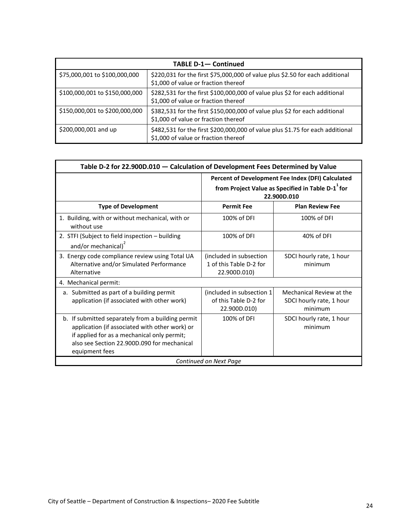| <b>TABLE D-1- Continued</b>    |                                                                                                                        |  |  |
|--------------------------------|------------------------------------------------------------------------------------------------------------------------|--|--|
| \$75,000,001 to \$100,000,000  | \$220,031 for the first \$75,000,000 of value plus \$2.50 for each additional<br>\$1,000 of value or fraction thereof  |  |  |
| \$100,000,001 to \$150,000,000 | \$282,531 for the first \$100,000,000 of value plus \$2 for each additional<br>\$1,000 of value or fraction thereof    |  |  |
| \$150,000,001 to \$200,000,000 | \$382,531 for the first \$150,000,000 of value plus \$2 for each additional<br>\$1,000 of value or fraction thereof    |  |  |
| \$200,000,001 and up           | \$482,531 for the first \$200,000,000 of value plus \$1.75 for each additional<br>\$1,000 of value or fraction thereof |  |  |

<span id="page-23-0"></span>

| Table D-2 for 22.900D.010 - Calculation of Development Fees Determined by Value                                                                                                                                     |                                                                                                                                   |                                                                 |  |
|---------------------------------------------------------------------------------------------------------------------------------------------------------------------------------------------------------------------|-----------------------------------------------------------------------------------------------------------------------------------|-----------------------------------------------------------------|--|
|                                                                                                                                                                                                                     | Percent of Development Fee Index (DFI) Calculated<br>from Project Value as Specified in Table D-1 <sup>1</sup> for<br>22.900D.010 |                                                                 |  |
| <b>Type of Development</b>                                                                                                                                                                                          | <b>Permit Fee</b>                                                                                                                 | <b>Plan Review Fee</b>                                          |  |
| 1. Building, with or without mechanical, with or<br>without use                                                                                                                                                     | 100% of DFI                                                                                                                       | 100% of DFI                                                     |  |
| 2. STFI (Subject to field inspection - building<br>and/or mechanical) <sup>2</sup>                                                                                                                                  | 100% of DFI                                                                                                                       | 40% of DFI                                                      |  |
| 3. Energy code compliance review using Total UA<br>Alternative and/or Simulated Performance<br>Alternative                                                                                                          | (included in subsection<br>1 of this Table D-2 for<br>22.900D.010)                                                                | SDCI hourly rate, 1 hour<br>minimum                             |  |
| 4. Mechanical permit:                                                                                                                                                                                               |                                                                                                                                   |                                                                 |  |
| a. Submitted as part of a building permit<br>application (if associated with other work)                                                                                                                            | (included in subsection 1)<br>of this Table D-2 for<br>22.900D.010)                                                               | Mechanical Review at the<br>SDCI hourly rate, 1 hour<br>minimum |  |
| b. If submitted separately from a building permit<br>application (if associated with other work) or<br>if applied for as a mechanical only permit;<br>also see Section 22.900D.090 for mechanical<br>equipment fees | 100% of DFI                                                                                                                       | SDCI hourly rate, 1 hour<br>minimum                             |  |
| Continued on Next Page                                                                                                                                                                                              |                                                                                                                                   |                                                                 |  |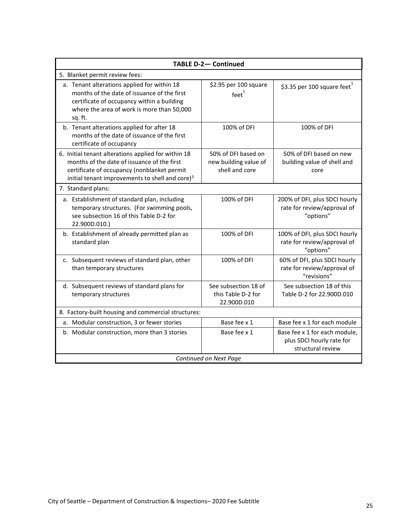| <b>TABLE D-2- Continued</b>                                                                                                                                                                                      |                                                                |                                                                                 |  |  |  |
|------------------------------------------------------------------------------------------------------------------------------------------------------------------------------------------------------------------|----------------------------------------------------------------|---------------------------------------------------------------------------------|--|--|--|
| 5. Blanket permit review fees:                                                                                                                                                                                   |                                                                |                                                                                 |  |  |  |
| a. Tenant alterations applied for within 18<br>months of the date of issuance of the first<br>certificate of occupancy within a building<br>where the area of work is more than 50,000<br>sq. ft.                | \$2.95 per 100 square<br>$feet^1$                              | \$3.35 per 100 square feet                                                      |  |  |  |
| b. Tenant alterations applied for after 18<br>months of the date of issuance of the first<br>certificate of occupancy                                                                                            | 100% of DFI                                                    | 100% of DFI                                                                     |  |  |  |
| 6. Initial tenant alterations applied for within 18<br>months of the date of issuance of the first<br>certificate of occupancy (nonblanket permit<br>initial tenant improvements to shell and core) <sup>3</sup> | 50% of DFI based on<br>new building value of<br>shell and core | 50% of DFI based on new<br>building value of shell and<br>core                  |  |  |  |
| 7. Standard plans:                                                                                                                                                                                               |                                                                |                                                                                 |  |  |  |
| a. Establishment of standard plan, including<br>temporary structures. (For swimming pools,<br>see subsection 16 of this Table D-2 for<br>22.900D.010.)                                                           | 100% of DFI                                                    | 200% of DFI, plus SDCI hourly<br>rate for review/approval of<br>"options"       |  |  |  |
| b. Establishment of already permitted plan as<br>standard plan                                                                                                                                                   | 100% of DFI                                                    | 100% of DFI, plus SDCI hourly<br>rate for review/approval of<br>"options"       |  |  |  |
| c. Subsequent reviews of standard plan, other<br>than temporary structures                                                                                                                                       | 100% of DFI                                                    | 60% of DFI, plus SDCI hourly<br>rate for review/approval of<br>"revisions"      |  |  |  |
| d. Subsequent reviews of standard plans for<br>temporary structures                                                                                                                                              | See subsection 18 of<br>this Table D-2 for<br>22.900D.010      | See subsection 18 of this<br>Table D-2 for 22.900D.010                          |  |  |  |
| 8. Factory-built housing and commercial structures:                                                                                                                                                              |                                                                |                                                                                 |  |  |  |
| a. Modular construction, 3 or fewer stories                                                                                                                                                                      | Base fee x 1                                                   | Base fee x 1 for each module                                                    |  |  |  |
| b. Modular construction, more than 3 stories                                                                                                                                                                     | Base fee x 1                                                   | Base fee x 1 for each module,<br>plus SDCI hourly rate for<br>structural review |  |  |  |
| Continued on Next Page                                                                                                                                                                                           |                                                                |                                                                                 |  |  |  |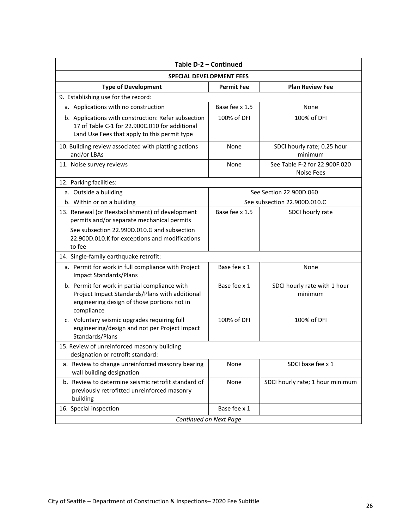| Table D-2 - Continued                                                                                                                                                                          |                   |                                             |  |  |  |
|------------------------------------------------------------------------------------------------------------------------------------------------------------------------------------------------|-------------------|---------------------------------------------|--|--|--|
| <b>SPECIAL DEVELOPMENT FEES</b>                                                                                                                                                                |                   |                                             |  |  |  |
| <b>Type of Development</b>                                                                                                                                                                     | <b>Permit Fee</b> | <b>Plan Review Fee</b>                      |  |  |  |
| 9. Establishing use for the record:                                                                                                                                                            |                   |                                             |  |  |  |
| a. Applications with no construction                                                                                                                                                           | Base fee x 1.5    | None                                        |  |  |  |
| b. Applications with construction: Refer subsection<br>17 of Table C-1 for 22.900C.010 for additional<br>Land Use Fees that apply to this permit type                                          | 100% of DFI       | 100% of DFI                                 |  |  |  |
| 10. Building review associated with platting actions<br>and/or LBAs                                                                                                                            | None              | SDCI hourly rate; 0.25 hour<br>minimum      |  |  |  |
| 11. Noise survey reviews                                                                                                                                                                       | None              | See Table F-2 for 22.900F.020<br>Noise Fees |  |  |  |
| 12. Parking facilities:                                                                                                                                                                        |                   |                                             |  |  |  |
| a. Outside a building                                                                                                                                                                          |                   | See Section 22.900D.060                     |  |  |  |
| b. Within or on a building                                                                                                                                                                     |                   | See subsection 22.900D.010.C                |  |  |  |
| 13. Renewal (or Reestablishment) of development<br>permits and/or separate mechanical permits<br>See subsection 22.990D.010.G and subsection<br>22.900D.010.K for exceptions and modifications | Base fee x 1.5    | SDCI hourly rate                            |  |  |  |
| to fee                                                                                                                                                                                         |                   |                                             |  |  |  |
| 14. Single-family earthquake retrofit:                                                                                                                                                         |                   |                                             |  |  |  |
| a. Permit for work in full compliance with Project<br><b>Impact Standards/Plans</b>                                                                                                            | Base fee x 1      | None                                        |  |  |  |
| b. Permit for work in partial compliance with<br>Project Impact Standards/Plans with additional<br>engineering design of those portions not in<br>compliance                                   | Base fee x 1      | SDCI hourly rate with 1 hour<br>minimum     |  |  |  |
| c. Voluntary seismic upgrades requiring full<br>engineering/design and not per Project Impact<br>Standards/Plans                                                                               | 100% of DFI       | 100% of DFI                                 |  |  |  |
| 15. Review of unreinforced masonry building<br>designation or retrofit standard:                                                                                                               |                   |                                             |  |  |  |
| a. Review to change unreinforced masonry bearing<br>wall building designation                                                                                                                  | None              | SDCI base fee x 1                           |  |  |  |
| b. Review to determine seismic retrofit standard of<br>previously retrofitted unreinforced masonry<br>building                                                                                 | None              | SDCI hourly rate; 1 hour minimum            |  |  |  |
| 16. Special inspection                                                                                                                                                                         | Base fee x 1      |                                             |  |  |  |
| Continued on Next Page                                                                                                                                                                         |                   |                                             |  |  |  |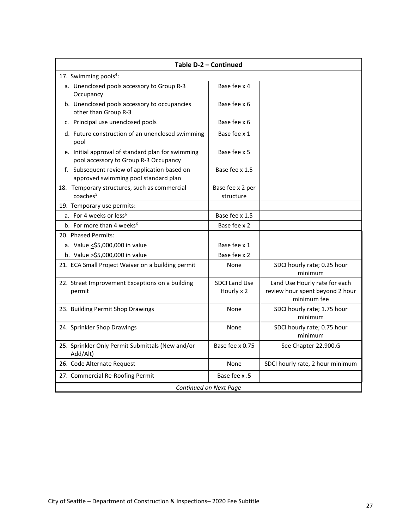| Table D-2 - Continued                                                                      |                                    |                                                                                 |  |  |  |
|--------------------------------------------------------------------------------------------|------------------------------------|---------------------------------------------------------------------------------|--|--|--|
| 17. Swimming pools <sup>4</sup> :                                                          |                                    |                                                                                 |  |  |  |
| a. Unenclosed pools accessory to Group R-3<br>Occupancy                                    | Base fee x 4                       |                                                                                 |  |  |  |
| b. Unenclosed pools accessory to occupancies<br>other than Group R-3                       | Base fee x 6                       |                                                                                 |  |  |  |
| c. Principal use unenclosed pools                                                          | Base fee x 6                       |                                                                                 |  |  |  |
| d. Future construction of an unenclosed swimming<br>pool                                   | Base fee x 1                       |                                                                                 |  |  |  |
| e. Initial approval of standard plan for swimming<br>pool accessory to Group R-3 Occupancy | Base fee x 5                       |                                                                                 |  |  |  |
| f. Subsequent review of application based on<br>approved swimming pool standard plan       | Base fee x 1.5                     |                                                                                 |  |  |  |
| 18. Temporary structures, such as commercial<br>coaches <sup>5</sup>                       | Base fee x 2 per<br>structure      |                                                                                 |  |  |  |
| 19. Temporary use permits:                                                                 |                                    |                                                                                 |  |  |  |
| a. For 4 weeks or less <sup>6</sup>                                                        | Base fee x 1.5                     |                                                                                 |  |  |  |
| b. For more than 4 weeks <sup>6</sup><br>Base fee x 2                                      |                                    |                                                                                 |  |  |  |
| 20. Phased Permits:                                                                        |                                    |                                                                                 |  |  |  |
| a. Value <\$5,000,000 in value                                                             | Base fee x 1                       |                                                                                 |  |  |  |
| b. Value > \$5,000,000 in value                                                            | Base fee x 2                       |                                                                                 |  |  |  |
| 21. ECA Small Project Waiver on a building permit                                          | None                               | SDCI hourly rate; 0.25 hour<br>minimum                                          |  |  |  |
| 22. Street Improvement Exceptions on a building<br>permit                                  | <b>SDCI Land Use</b><br>Hourly x 2 | Land Use Hourly rate for each<br>review hour spent beyond 2 hour<br>minimum fee |  |  |  |
| 23. Building Permit Shop Drawings                                                          | None                               | SDCI hourly rate; 1.75 hour<br>minimum                                          |  |  |  |
| 24. Sprinkler Shop Drawings                                                                | None                               | SDCI hourly rate; 0.75 hour<br>minimum                                          |  |  |  |
| 25. Sprinkler Only Permit Submittals (New and/or<br>Add/Alt)                               | Base fee x 0.75                    | See Chapter 22.900.G                                                            |  |  |  |
| 26. Code Alternate Request                                                                 | None                               | SDCI hourly rate, 2 hour minimum                                                |  |  |  |
| 27. Commercial Re-Roofing Permit                                                           | Base fee x .5                      |                                                                                 |  |  |  |
| Continued on Next Page                                                                     |                                    |                                                                                 |  |  |  |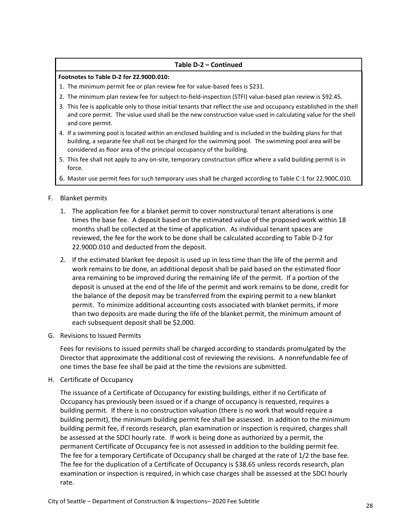### **Table D-2 – Continued**

#### **Footnotes to Table D-2 for 22.900D.010:**

- 1. The minimum permit fee or plan review fee for value-based fees is \$231.
- 2. The minimum plan review fee for subject-to-field-inspection (STFI) value-based plan review is \$92.45.
- 3. This fee is applicable only to those initial tenants that reflect the use and occupancy established in the shell and core permit. The value used shall be the new construction value used in calculating value for the shell and core permit.
- 4. If a swimming pool is located within an enclosed building and is included in the building plans for that building, a separate fee shall not be charged for the swimming pool. The swimming pool area will be considered as floor area of the principal occupancy of the building.
- 5. This fee shall not apply to any on-site, temporary construction office where a valid building permit is in force.
- 6. Master use permit fees for such temporary uses shall be charged according to Table C-1 for 22.900C.010.

### F. Blanket permits

- 1. The application fee for a blanket permit to cover nonstructural tenant alterations is one times the base fee. A deposit based on the estimated value of the proposed work within 18 months shall be collected at the time of application. As individual tenant spaces are reviewed, the fee for the work to be done shall be calculated according to Table D-2 for 22.900D.010 and deducted from the deposit.
- 2. If the estimated blanket fee deposit is used up in less time than the life of the permit and work remains to be done, an additional deposit shall be paid based on the estimated floor area remaining to be improved during the remaining life of the permit. If a portion of the deposit is unused at the end of the life of the permit and work remains to be done, credit for the balance of the deposit may be transferred from the expiring permit to a new blanket permit. To minimize additional accounting costs associated with blanket permits, if more than two deposits are made during the life of the blanket permit, the minimum amount of each subsequent deposit shall be \$2,000.
- G. Revisions to Issued Permits

Fees for revisions to issued permits shall be charged according to standards promulgated by the Director that approximate the additional cost of reviewing the revisions. A nonrefundable fee of one times the base fee shall be paid at the time the revisions are submitted.

H. Certificate of Occupancy

The issuance of a Certificate of Occupancy for existing buildings, either if no Certificate of Occupancy has previously been issued or if a change of occupancy is requested, requires a building permit. If there is no construction valuation (there is no work that would require a building permit), the minimum building permit fee shall be assessed. In addition to the minimum building permit fee, if records research, plan examination or inspection is required, charges shall be assessed at the SDCI hourly rate. If work is being done as authorized by a permit, the permanent Certificate of Occupancy fee is not assessed in addition to the building permit fee. The fee for a temporary Certificate of Occupancy shall be charged at the rate of 1/2 the base fee. The fee for the duplication of a Certificate of Occupancy is \$38.65 unless records research, plan examination or inspection is required, in which case charges shall be assessed at the SDCI hourly rate.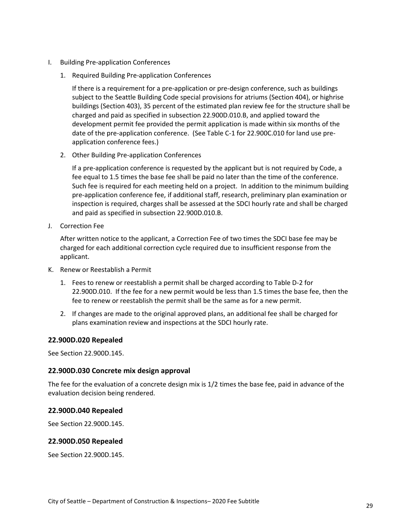- I. Building Pre-application Conferences
	- 1. Required Building Pre-application Conferences

If there is a requirement for a pre-application or pre-design conference, such as buildings subject to the Seattle Building Code special provisions for atriums (Section 404), or highrise buildings (Section 403), 35 percent of the estimated plan review fee for the structure shall be charged and paid as specified in subsection 22.900D.010.B, and applied toward the development permit fee provided the permit application is made within six months of the date of the pre-application conference. (See Table C-1 for 22.900C.010 for land use preapplication conference fees.)

2. Other Building Pre-application Conferences

If a pre-application conference is requested by the applicant but is not required by Code, a fee equal to 1.5 times the base fee shall be paid no later than the time of the conference. Such fee is required for each meeting held on a project. In addition to the minimum building pre-application conference fee, if additional staff, research, preliminary plan examination or inspection is required, charges shall be assessed at the SDCI hourly rate and shall be charged and paid as specified in subsection 22.900D.010.B.

J. Correction Fee

After written notice to the applicant, a Correction Fee of two times the SDCI base fee may be charged for each additional correction cycle required due to insufficient response from the applicant.

- K. Renew or Reestablish a Permit
	- 1. Fees to renew or reestablish a permit shall be charged according to Table D-2 for 22.900D.010. If the fee for a new permit would be less than 1.5 times the base fee, then the fee to renew or reestablish the permit shall be the same as for a new permit.
	- 2. If changes are made to the original approved plans, an additional fee shall be charged for plans examination review and inspections at the SDCI hourly rate.

#### <span id="page-28-0"></span>**22.900D.020 Repealed**

See Section 22.900D.145.

### <span id="page-28-1"></span>**22.900D.030 Concrete mix design approval**

The fee for the evaluation of a concrete design mix is 1/2 times the base fee, paid in advance of the evaluation decision being rendered.

### <span id="page-28-2"></span>**22.900D.040 Repealed**

See Section 22.900D.145.

### <span id="page-28-3"></span>**22.900D.050 Repealed**

See Section 22.900D.145.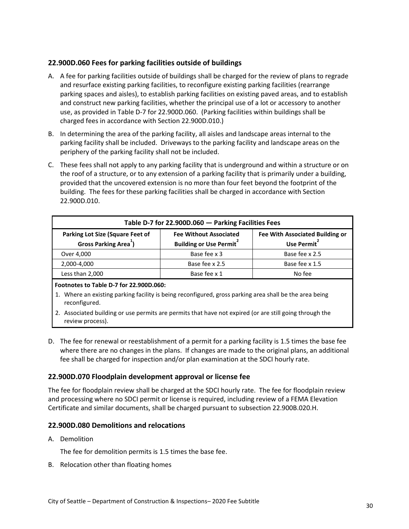# <span id="page-29-0"></span>**22.900D.060 Fees for parking facilities outside of buildings**

- A. A fee for parking facilities outside of buildings shall be charged for the review of plans to regrade and resurface existing parking facilities, to reconfigure existing parking facilities (rearrange parking spaces and aisles), to establish parking facilities on existing paved areas, and to establish and construct new parking facilities, whether the principal use of a lot or accessory to another use, as provided in Table D-7 for 22.900D.060. (Parking facilities within buildings shall be charged fees in accordance with Section 22.900D.010.)
- B. In determining the area of the parking facility, all aisles and landscape areas internal to the parking facility shall be included. Driveways to the parking facility and landscape areas on the periphery of the parking facility shall not be included.
- C. These fees shall not apply to any parking facility that is underground and within a structure or on the roof of a structure, or to any extension of a parking facility that is primarily under a building, provided that the uncovered extension is no more than four feet beyond the footprint of the building. The fees for these parking facilities shall be charged in accordance with Section 22.900D.010.

<span id="page-29-3"></span>

| Table D-7 for 22.900D.060 - Parking Facilities Fees                                                                                                                                                                             |                |                |  |  |
|---------------------------------------------------------------------------------------------------------------------------------------------------------------------------------------------------------------------------------|----------------|----------------|--|--|
| <b>Parking Lot Size (Square Feet of</b><br><b>Fee With Associated Building or</b><br><b>Fee Without Associated</b><br>Gross Parking Area <sup>1</sup> )<br>Use Permit <sup>2</sup><br><b>Building or Use Permit<sup>2</sup></b> |                |                |  |  |
| Over 4,000                                                                                                                                                                                                                      | Base fee x 3   | Base fee x 2.5 |  |  |
| 2,000-4,000                                                                                                                                                                                                                     | Base fee x 2.5 | Base fee x 1.5 |  |  |
| Less than 2,000                                                                                                                                                                                                                 | Base fee x 1   | No fee         |  |  |

### **Footnotes to Table D-7 for 22.900D.060:**

- 1. Where an existing parking facility is being reconfigured, gross parking area shall be the area being reconfigured.
- 2. Associated building or use permits are permits that have not expired (or are still going through the review process).
- D. The fee for renewal or reestablishment of a permit for a parking facility is 1.5 times the base fee where there are no changes in the plans. If changes are made to the original plans, an additional fee shall be charged for inspection and/or plan examination at the SDCI hourly rate.

# <span id="page-29-1"></span>**22.900D.070 Floodplain development approval or license fee**

The fee for floodplain review shall be charged at the SDCI hourly rate. The fee for floodplain review and processing where no SDCI permit or license is required, including review of a FEMA Elevation Certificate and similar documents, shall be charged pursuant to subsection 22.900B.020.H.

# <span id="page-29-2"></span>**22.900D.080 Demolitions and relocations**

A. Demolition

The fee for demolition permits is 1.5 times the base fee.

B. Relocation other than floating homes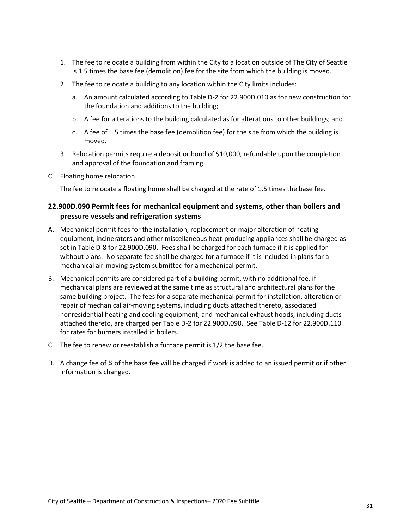- 1. The fee to relocate a building from within the City to a location outside of The City of Seattle is 1.5 times the base fee (demolition) fee for the site from which the building is moved.
- 2. The fee to relocate a building to any location within the City limits includes:
	- a. An amount calculated according to Table D-2 for 22.900D.010 as for new construction for the foundation and additions to the building;
	- b. A fee for alterations to the building calculated as for alterations to other buildings; and
	- c. A fee of 1.5 times the base fee (demolition fee) for the site from which the building is moved.
- 3. Relocation permits require a deposit or bond of \$10,000, refundable upon the completion and approval of the foundation and framing.
- C. Floating home relocation

The fee to relocate a floating home shall be charged at the rate of 1.5 times the base fee.

# <span id="page-30-0"></span>**22.900D.090 Permit fees for mechanical equipment and systems, other than boilers and pressure vessels and refrigeration systems**

- A. Mechanical permit fees for the installation, replacement or major alteration of heating equipment, incinerators and other miscellaneous heat-producing appliances shall be charged as set in Table D-8 for 22.900D.090. Fees shall be charged for each furnace if it is applied for without plans. No separate fee shall be charged for a furnace if it is included in plans for a mechanical air-moving system submitted for a mechanical permit.
- B. Mechanical permits are considered part of a building permit, with no additional fee, if mechanical plans are reviewed at the same time as structural and architectural plans for the same building project. The fees for a separate mechanical permit for installation, alteration or repair of mechanical air-moving systems, including ducts attached thereto, associated nonresidential heating and cooling equipment, and mechanical exhaust hoods, including ducts attached thereto, are charged per Table D-2 for 22.900D.090. See Table D-12 for 22.900D.110 for rates for burners installed in boilers.
- C. The fee to renew or reestablish a furnace permit is 1/2 the base fee.
- D. A change fee of ¼ of the base fee will be charged if work is added to an issued permit or if other information is changed.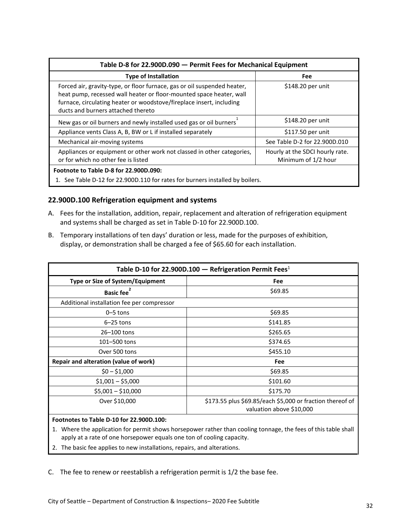<span id="page-31-1"></span>

| Table D-8 for 22.900D.090 - Permit Fees for Mechanical Equipment                                                                                                                                                                                              |                               |  |  |  |
|---------------------------------------------------------------------------------------------------------------------------------------------------------------------------------------------------------------------------------------------------------------|-------------------------------|--|--|--|
| <b>Type of Installation</b>                                                                                                                                                                                                                                   | Fee                           |  |  |  |
| Forced air, gravity-type, or floor furnace, gas or oil suspended heater,<br>heat pump, recessed wall heater or floor-mounted space heater, wall<br>furnace, circulating heater or woodstove/fireplace insert, including<br>ducts and burners attached thereto | \$148.20 per unit             |  |  |  |
| New gas or oil burners and newly installed used gas or oil burners                                                                                                                                                                                            | \$148.20 per unit             |  |  |  |
| Appliance vents Class A, B, BW or L if installed separately                                                                                                                                                                                                   | \$117.50 per unit             |  |  |  |
| Mechanical air-moving systems                                                                                                                                                                                                                                 | See Table D-2 for 22.900D.010 |  |  |  |
| Appliances or equipment or other work not classed in other categories,<br>Hourly at the SDCI hourly rate.<br>or for which no other fee is listed<br>Minimum of 1/2 hour                                                                                       |                               |  |  |  |
| Footnote to Table D-8 for 22,900D.090:<br>1. See Table D-12 for 22.900D.110 for rates for burners installed by boilers.                                                                                                                                       |                               |  |  |  |

### <span id="page-31-0"></span>**22.900D.100 Refrigeration equipment and systems**

- A. Fees for the installation, addition, repair, replacement and alteration of refrigeration equipment and systems shall be charged as set in Table D-10 for 22.900D.100.
- B. Temporary installations of ten days' duration or less, made for the purposes of exhibition, display, or demonstration shall be charged a fee of \$65.60 for each installation.

<span id="page-31-2"></span>

| Table D-10 for 22.900D.100 - Refrigeration Permit Fees <sup>1</sup> |                                                                                       |  |
|---------------------------------------------------------------------|---------------------------------------------------------------------------------------|--|
| Type or Size of System/Equipment                                    | Fee                                                                                   |  |
| Basic fee <sup>2</sup>                                              | \$69.85                                                                               |  |
| Additional installation fee per compressor                          |                                                                                       |  |
| $0 - 5$ tons                                                        | \$69.85                                                                               |  |
| $6-25$ tons                                                         | \$141.85                                                                              |  |
| 26-100 tons                                                         | \$265.65                                                                              |  |
| 101-500 tons                                                        | \$374.65                                                                              |  |
| Over 500 tons                                                       | \$455.10                                                                              |  |
| Repair and alteration (value of work)                               | Fee                                                                                   |  |
| $$0 - $1,000$                                                       | \$69.85                                                                               |  |
| $$1,001 - $5,000$                                                   | \$101.60                                                                              |  |
| $$5,001 - $10,000$                                                  | \$175.70                                                                              |  |
| Over \$10,000                                                       | \$173.55 plus \$69.85/each \$5,000 or fraction thereof of<br>valuation above \$10,000 |  |

### **Footnotes to Table D-10 for 22.900D.100:**

- 1. Where the application for permit shows horsepower rather than cooling tonnage, the fees of this table shall apply at a rate of one horsepower equals one ton of cooling capacity.
- 2. The basic fee applies to new installations, repairs, and alterations.

C. The fee to renew or reestablish a refrigeration permit is 1/2 the base fee.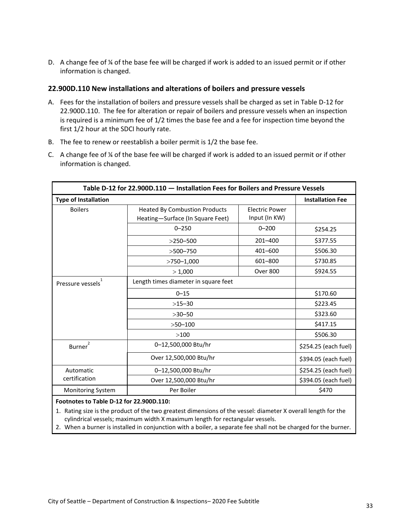D. A change fee of ¼ of the base fee will be charged if work is added to an issued permit or if other information is changed.

### <span id="page-32-0"></span>**22.900D.110 New installations and alterations of boilers and pressure vessels**

- A. Fees for the installation of boilers and pressure vessels shall be charged as set in Table D-12 for 22.900D.110. The fee for alteration or repair of boilers and pressure vessels when an inspection is required is a minimum fee of 1/2 times the base fee and a fee for inspection time beyond the first 1/2 hour at the SDCI hourly rate.
- B. The fee to renew or reestablish a boiler permit is 1/2 the base fee.
- C. A change fee of  $\frac{1}{4}$  of the base fee will be charged if work is added to an issued permit or if other information is changed.

<span id="page-32-1"></span>

| Table D-12 for 22.900D.110 - Installation Fees for Boilers and Pressure Vessels |                                                                                                                    |                      |                         |  |  |
|---------------------------------------------------------------------------------|--------------------------------------------------------------------------------------------------------------------|----------------------|-------------------------|--|--|
| <b>Type of Installation</b>                                                     |                                                                                                                    |                      | <b>Installation Fee</b> |  |  |
| <b>Boilers</b>                                                                  | <b>Heated By Combustion Products</b><br><b>Electric Power</b><br>Input (In KW)<br>Heating-Surface (In Square Feet) |                      |                         |  |  |
|                                                                                 | $0 - 250$                                                                                                          | $0 - 200$            | \$254.25                |  |  |
|                                                                                 | $>250 - 500$                                                                                                       | $201 - 400$          | \$377.55                |  |  |
|                                                                                 | $>500 - 750$                                                                                                       | 401-600              | \$506.30                |  |  |
|                                                                                 | $>750 - 1,000$                                                                                                     | 601-800              | \$730.85                |  |  |
|                                                                                 | >1,000                                                                                                             | <b>Over 800</b>      | \$924.55                |  |  |
| Length times diameter in square feet<br>Pressure vessels                        |                                                                                                                    |                      |                         |  |  |
|                                                                                 | $0 - 15$                                                                                                           | \$170.60             |                         |  |  |
| $>15-30$<br>$>30 - 50$                                                          |                                                                                                                    | \$223.45             |                         |  |  |
|                                                                                 |                                                                                                                    | \$323.60             |                         |  |  |
|                                                                                 | $>50 - 100$                                                                                                        | \$417.15             |                         |  |  |
|                                                                                 | >100                                                                                                               |                      |                         |  |  |
| $\overline{2}$<br>Burner                                                        | 0-12,500,000 Btu/hr                                                                                                |                      | \$254.25 (each fuel)    |  |  |
|                                                                                 | Over 12,500,000 Btu/hr                                                                                             | \$394.05 (each fuel) |                         |  |  |
| Automatic                                                                       | 0-12,500,000 Btu/hr                                                                                                |                      | \$254.25 (each fuel)    |  |  |
| certification                                                                   | Over 12,500,000 Btu/hr                                                                                             |                      | \$394.05 (each fuel)    |  |  |
| <b>Monitoring System</b>                                                        | Per Boiler<br>\$470                                                                                                |                      |                         |  |  |
| Enetpates to Table D 12 for 22,000D 110:                                        |                                                                                                                    |                      |                         |  |  |

#### **Footnotes to Table D-12 for 22.900D.110:**

1. Rating size is the product of the two greatest dimensions of the vessel: diameter X overall length for the cylindrical vessels; maximum width X maximum length for rectangular vessels.

2. When a burner is installed in conjunction with a boiler, a separate fee shall not be charged for the burner.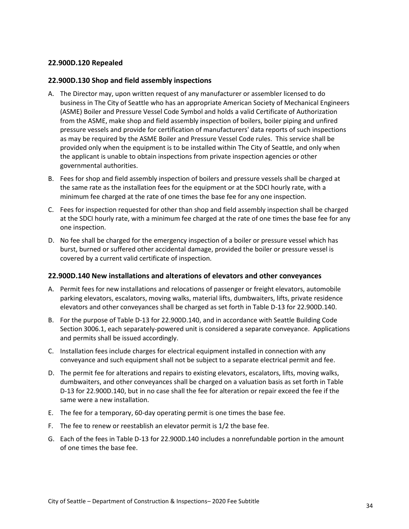### <span id="page-33-0"></span>**22.900D.120 Repealed**

### <span id="page-33-1"></span>**22.900D.130 Shop and field assembly inspections**

- A. The Director may, upon written request of any manufacturer or assembler licensed to do business in The City of Seattle who has an appropriate American Society of Mechanical Engineers (ASME) Boiler and Pressure Vessel Code Symbol and holds a valid Certificate of Authorization from the ASME, make shop and field assembly inspection of boilers, boiler piping and unfired pressure vessels and provide for certification of manufacturers' data reports of such inspections as may be required by the ASME Boiler and Pressure Vessel Code rules. This service shall be provided only when the equipment is to be installed within The City of Seattle, and only when the applicant is unable to obtain inspections from private inspection agencies or other governmental authorities.
- B. Fees for shop and field assembly inspection of boilers and pressure vessels shall be charged at the same rate as the installation fees for the equipment or at the SDCI hourly rate, with a minimum fee charged at the rate of one times the base fee for any one inspection.
- C. Fees for inspection requested for other than shop and field assembly inspection shall be charged at the SDCI hourly rate, with a minimum fee charged at the rate of one times the base fee for any one inspection.
- D. No fee shall be charged for the emergency inspection of a boiler or pressure vessel which has burst, burned or suffered other accidental damage, provided the boiler or pressure vessel is covered by a current valid certificate of inspection.

#### <span id="page-33-2"></span>**22.900D.140 New installations and alterations of elevators and other conveyances**

- A. Permit fees for new installations and relocations of passenger or freight elevators, automobile parking elevators, escalators, moving walks, material lifts, dumbwaiters, lifts, private residence elevators and other conveyances shall be charged as set forth in Table D-13 for 22.900D.140.
- B. For the purpose of Table D-13 for 22.900D.140, and in accordance with Seattle Building Code Section 3006.1, each separately-powered unit is considered a separate conveyance. Applications and permits shall be issued accordingly.
- C. Installation fees include charges for electrical equipment installed in connection with any conveyance and such equipment shall not be subject to a separate electrical permit and fee.
- D. The permit fee for alterations and repairs to existing elevators, escalators, lifts, moving walks, dumbwaiters, and other conveyances shall be charged on a valuation basis as set forth in Table D-13 for 22.900D.140, but in no case shall the fee for alteration or repair exceed the fee if the same were a new installation.
- E. The fee for a temporary, 60-day operating permit is one times the base fee.
- F. The fee to renew or reestablish an elevator permit is 1/2 the base fee.
- G. Each of the fees in Table D-13 for 22.900D.140 includes a nonrefundable portion in the amount of one times the base fee.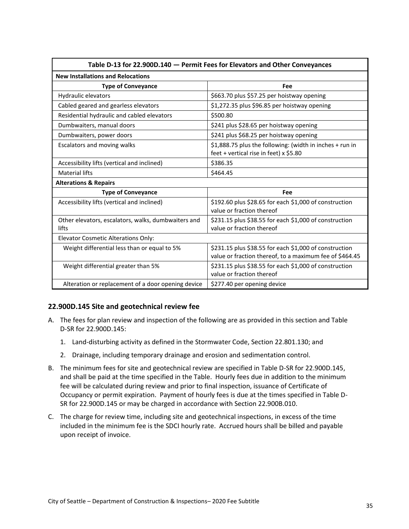<span id="page-34-1"></span>

| Table D-13 for 22.900D.140 - Permit Fees for Elevators and Other Conveyances |                                                                                                                   |  |  |  |
|------------------------------------------------------------------------------|-------------------------------------------------------------------------------------------------------------------|--|--|--|
| <b>New Installations and Relocations</b>                                     |                                                                                                                   |  |  |  |
| <b>Type of Conveyance</b>                                                    | Fee                                                                                                               |  |  |  |
| Hydraulic elevators                                                          | \$663.70 plus \$57.25 per hoistway opening                                                                        |  |  |  |
| Cabled geared and gearless elevators                                         | \$1,272.35 plus \$96.85 per hoistway opening                                                                      |  |  |  |
| Residential hydraulic and cabled elevators                                   | \$500.80                                                                                                          |  |  |  |
| Dumbwaiters, manual doors                                                    | \$241 plus \$28.65 per hoistway opening                                                                           |  |  |  |
| Dumbwaiters, power doors                                                     | \$241 plus \$68.25 per hoistway opening                                                                           |  |  |  |
| Escalators and moving walks                                                  | \$1,888.75 plus the following: (width in inches + run in<br>feet + vertical rise in feet) x \$5.80                |  |  |  |
| Accessibility lifts (vertical and inclined)                                  | \$386.35                                                                                                          |  |  |  |
| <b>Material lifts</b>                                                        | \$464.45                                                                                                          |  |  |  |
| <b>Alterations &amp; Repairs</b>                                             |                                                                                                                   |  |  |  |
| <b>Type of Conveyance</b>                                                    | Fee                                                                                                               |  |  |  |
| Accessibility lifts (vertical and inclined)                                  | \$192.60 plus \$28.65 for each \$1,000 of construction<br>value or fraction thereof                               |  |  |  |
| Other elevators, escalators, walks, dumbwaiters and<br>lifts                 | \$231.15 plus \$38.55 for each \$1,000 of construction<br>value or fraction thereof                               |  |  |  |
| <b>Elevator Cosmetic Alterations Only:</b>                                   |                                                                                                                   |  |  |  |
| Weight differential less than or equal to 5%                                 | \$231.15 plus \$38.55 for each \$1,000 of construction<br>value or fraction thereof, to a maximum fee of \$464.45 |  |  |  |
| Weight differential greater than 5%                                          | \$231.15 plus \$38.55 for each \$1,000 of construction<br>value or fraction thereof                               |  |  |  |
| Alteration or replacement of a door opening device                           | \$277.40 per opening device                                                                                       |  |  |  |

# <span id="page-34-0"></span>**22.900D.145 Site and geotechnical review fee**

- A. The fees for plan review and inspection of the following are as provided in this section and Table D-SR for 22.900D.145:
	- 1. Land-disturbing activity as defined in the Stormwater Code, Section 22.801.130; and
	- 2. Drainage, including temporary drainage and erosion and sedimentation control.
- B. The minimum fees for site and geotechnical review are specified in Table D-SR for 22.900D.145, and shall be paid at the time specified in the Table. Hourly fees due in addition to the minimum fee will be calculated during review and prior to final inspection, issuance of Certificate of Occupancy or permit expiration. Payment of hourly fees is due at the times specified in Table D-SR for 22.900D.145 or may be charged in accordance with Section 22.900B.010.
- C. The charge for review time, including site and geotechnical inspections, in excess of the time included in the minimum fee is the SDCI hourly rate. Accrued hours shall be billed and payable upon receipt of invoice.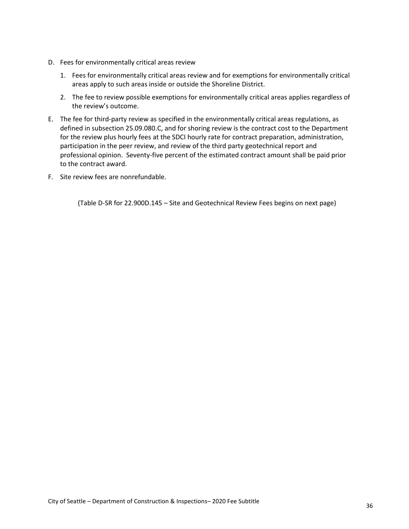- D. Fees for environmentally critical areas review
	- 1. Fees for environmentally critical areas review and for exemptions for environmentally critical areas apply to such areas inside or outside the Shoreline District.
	- 2. The fee to review possible exemptions for environmentally critical areas applies regardless of the review's outcome.
- E. The fee for third-party review as specified in the environmentally critical areas regulations, as defined in subsection 25.09.080.C, and for shoring review is the contract cost to the Department for the review plus hourly fees at the SDCI hourly rate for contract preparation, administration, participation in the peer review, and review of the third party geotechnical report and professional opinion. Seventy-five percent of the estimated contract amount shall be paid prior to the contract award.
- F. Site review fees are nonrefundable.

(Table D-SR for 22.900D.145 – Site and Geotechnical Review Fees begins on next page)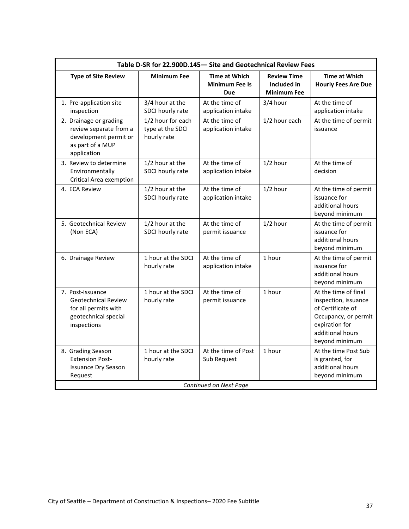<span id="page-36-0"></span>

| Table D-SR for 22.900D.145 - Site and Geotechnical Review Fees                                                |                                                      |                                                             |                                                         |                                                                                                                                                   |  |
|---------------------------------------------------------------------------------------------------------------|------------------------------------------------------|-------------------------------------------------------------|---------------------------------------------------------|---------------------------------------------------------------------------------------------------------------------------------------------------|--|
| <b>Type of Site Review</b>                                                                                    | <b>Minimum Fee</b>                                   | <b>Time at Which</b><br><b>Minimum Fee Is</b><br><b>Due</b> | <b>Review Time</b><br>Included in<br><b>Minimum Fee</b> | <b>Time at Which</b><br><b>Hourly Fees Are Due</b>                                                                                                |  |
| 1. Pre-application site<br>inspection                                                                         | 3/4 hour at the<br>SDCI hourly rate                  | At the time of<br>application intake                        | 3/4 hour                                                | At the time of<br>application intake                                                                                                              |  |
| 2. Drainage or grading<br>review separate from a<br>development permit or<br>as part of a MUP<br>application  | 1/2 hour for each<br>type at the SDCI<br>hourly rate | At the time of<br>application intake                        | 1/2 hour each                                           | At the time of permit<br>issuance                                                                                                                 |  |
| 3. Review to determine<br>Environmentally<br>Critical Area exemption                                          | 1/2 hour at the<br>SDCI hourly rate                  | At the time of<br>application intake                        | $1/2$ hour                                              | At the time of<br>decision                                                                                                                        |  |
| 4. ECA Review                                                                                                 | 1/2 hour at the<br>SDCI hourly rate                  | At the time of<br>application intake                        | $1/2$ hour                                              | At the time of permit<br>issuance for<br>additional hours<br>beyond minimum                                                                       |  |
| 5. Geotechnical Review<br>(Non ECA)                                                                           | 1/2 hour at the<br>SDCI hourly rate                  | At the time of<br>permit issuance                           | $1/2$ hour                                              | At the time of permit<br>issuance for<br>additional hours<br>beyond minimum                                                                       |  |
| 6. Drainage Review                                                                                            | 1 hour at the SDCI<br>hourly rate                    | At the time of<br>application intake                        | 1 hour                                                  | At the time of permit<br>issuance for<br>additional hours<br>beyond minimum                                                                       |  |
| 7. Post-Issuance<br><b>Geotechnical Review</b><br>for all permits with<br>geotechnical special<br>inspections | 1 hour at the SDCI<br>hourly rate                    | At the time of<br>permit issuance                           | 1 hour                                                  | At the time of final<br>inspection, issuance<br>of Certificate of<br>Occupancy, or permit<br>expiration for<br>additional hours<br>beyond minimum |  |
| 8. Grading Season<br><b>Extension Post-</b><br><b>Issuance Dry Season</b><br>Request                          | 1 hour at the SDCI<br>hourly rate                    | At the time of Post<br>Sub Request                          | 1 hour                                                  | At the time Post Sub<br>is granted, for<br>additional hours<br>beyond minimum                                                                     |  |
| Continued on Next Page                                                                                        |                                                      |                                                             |                                                         |                                                                                                                                                   |  |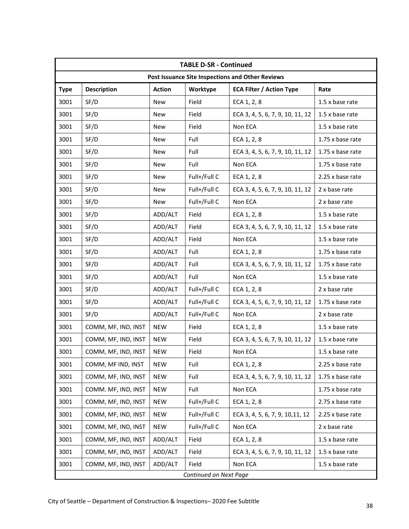|                        | <b>TABLE D-SR - Continued</b>                    |               |              |                                  |                  |
|------------------------|--------------------------------------------------|---------------|--------------|----------------------------------|------------------|
|                        | Post Issuance Site Inspections and Other Reviews |               |              |                                  |                  |
| <b>Type</b>            | <b>Description</b>                               | <b>Action</b> | Worktype     | <b>ECA Filter / Action Type</b>  | Rate             |
| 3001                   | SF/D                                             | <b>New</b>    | Field        | ECA 1, 2, 8                      | 1.5 x base rate  |
| 3001                   | SF/D                                             | <b>New</b>    | Field        | ECA 3, 4, 5, 6, 7, 9, 10, 11, 12 | 1.5 x base rate  |
| 3001                   | SF/D                                             | <b>New</b>    | Field        | Non ECA                          | 1.5 x base rate  |
| 3001                   | SF/D                                             | <b>New</b>    | Full         | ECA 1, 2, 8                      | 1.75 x base rate |
| 3001                   | SF/D                                             | <b>New</b>    | Full         | ECA 3, 4, 5, 6, 7, 9, 10, 11, 12 | 1.75 x base rate |
| 3001                   | SF/D                                             | <b>New</b>    | Full         | Non ECA                          | 1.75 x base rate |
| 3001                   | SF/D                                             | New           | Full+/Full C | ECA 1, 2, 8                      | 2.25 x base rate |
| 3001                   | SF/D                                             | <b>New</b>    | Full+/Full C | ECA 3, 4, 5, 6, 7, 9, 10, 11, 12 | 2 x base rate    |
| 3001                   | SF/D                                             | <b>New</b>    | Full+/Full C | Non ECA                          | 2 x base rate    |
| 3001                   | SF/D                                             | ADD/ALT       | Field        | ECA 1, 2, 8                      | 1.5 x base rate  |
| 3001                   | SF/D                                             | ADD/ALT       | Field        | ECA 3, 4, 5, 6, 7, 9, 10, 11, 12 | 1.5 x base rate  |
| 3001                   | SF/D                                             | ADD/ALT       | Field        | Non ECA                          | 1.5 x base rate  |
| 3001                   | SF/D                                             | ADD/ALT       | Full         | ECA 1, 2, 8                      | 1.75 x base rate |
| 3001                   | SF/D                                             | ADD/ALT       | Full         | ECA 3, 4, 5, 6, 7, 9, 10, 11, 12 | 1.75 x base rate |
| 3001                   | SF/D                                             | ADD/ALT       | Full         | Non ECA                          | 1.5 x base rate  |
| 3001                   | SF/D                                             | ADD/ALT       | Full+/Full C | ECA 1, 2, 8                      | 2 x base rate    |
| 3001                   | SF/D                                             | ADD/ALT       | Full+/Full C | ECA 3, 4, 5, 6, 7, 9, 10, 11, 12 | 1.75 x base rate |
| 3001                   | SF/D                                             | ADD/ALT       | Full+/Full C | Non ECA                          | 2 x base rate    |
| 3001                   | COMM, MF, IND, INST                              | <b>NEW</b>    | Field        | ECA 1, 2, 8                      | 1.5 x base rate  |
| 3001                   | COMM, MF, IND, INST                              | <b>NEW</b>    | Field        | ECA 3, 4, 5, 6, 7, 9, 10, 11, 12 | 1.5 x base rate  |
| 3001                   | COMM, MF, IND, INST                              | <b>NEW</b>    | Field        | Non ECA                          | 1.5 x base rate  |
| 3001                   | COMM, MF IND, INST                               | <b>NEW</b>    | Full         | ECA 1, 2, 8                      | 2.25 x base rate |
| 3001                   | COMM, MF, IND, INST                              | <b>NEW</b>    | Full         | ECA 3, 4, 5, 6, 7, 9, 10, 11, 12 | 1.75 x base rate |
| 3001                   | COMM. MF, IND, INST                              | <b>NEW</b>    | Full         | Non ECA                          | 1.75 x base rate |
| 3001                   | COMM, MF, IND, INST                              | <b>NEW</b>    | Full+/Full C | ECA 1, 2, 8                      | 2.75 x base rate |
| 3001                   | COMM, MF, IND, INST                              | <b>NEW</b>    | Full+/Full C | ECA 3, 4, 5, 6, 7, 9, 10, 11, 12 | 2.25 x base rate |
| 3001                   | COMM, MF, IND, INST                              | <b>NEW</b>    | Full+/Full C | Non ECA                          | 2 x base rate    |
| 3001                   | COMM, MF, IND, INST                              | ADD/ALT       | Field        | ECA 1, 2, 8                      | 1.5 x base rate  |
| 3001                   | COMM, MF, IND, INST                              | ADD/ALT       | Field        | ECA 3, 4, 5, 6, 7, 9, 10, 11, 12 | 1.5 x base rate  |
| 3001                   | COMM, MF, IND, INST                              | ADD/ALT       | Field        | Non ECA                          | 1.5 x base rate  |
| Continued on Next Page |                                                  |               |              |                                  |                  |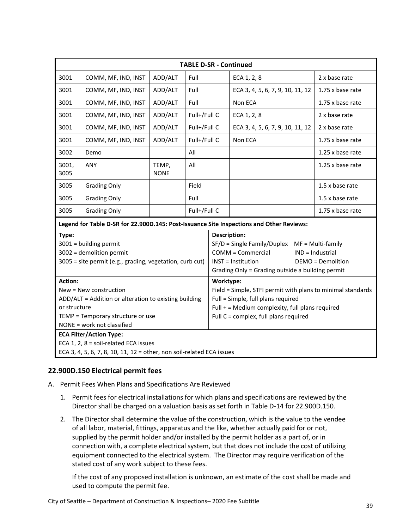|                                                                                                                                                                                                                                                                 | <b>TABLE D-SR - Continued</b> |                      |                     |                                                                                                                                                                                                 |                                       |                  |
|-----------------------------------------------------------------------------------------------------------------------------------------------------------------------------------------------------------------------------------------------------------------|-------------------------------|----------------------|---------------------|-------------------------------------------------------------------------------------------------------------------------------------------------------------------------------------------------|---------------------------------------|------------------|
| 3001                                                                                                                                                                                                                                                            | COMM, MF, IND, INST           | ADD/ALT              | Full                |                                                                                                                                                                                                 | ECA 1, 2, 8                           | 2 x base rate    |
| 3001                                                                                                                                                                                                                                                            | COMM, MF, IND, INST           | ADD/ALT              | Full                |                                                                                                                                                                                                 | ECA 3, 4, 5, 6, 7, 9, 10, 11, 12      | 1.75 x base rate |
| 3001                                                                                                                                                                                                                                                            | COMM, MF, IND, INST           | ADD/ALT              | Full                |                                                                                                                                                                                                 | Non ECA                               | 1.75 x base rate |
| 3001                                                                                                                                                                                                                                                            | COMM, MF, IND, INST           | ADD/ALT              | Full+/Full C        |                                                                                                                                                                                                 | ECA 1, 2, 8                           | 2 x base rate    |
| 3001                                                                                                                                                                                                                                                            | COMM, MF, IND, INST           | ADD/ALT              | Full+/Full C        |                                                                                                                                                                                                 | ECA 3, 4, 5, 6, 7, 9, 10, 11, 12      | 2 x base rate    |
| 3001                                                                                                                                                                                                                                                            | COMM, MF, IND, INST           | ADD/ALT              | Full+/Full C        |                                                                                                                                                                                                 | Non ECA                               | 1.75 x base rate |
| 3002                                                                                                                                                                                                                                                            | Demo                          |                      | All                 |                                                                                                                                                                                                 |                                       | 1.25 x base rate |
| 3001,<br>3005                                                                                                                                                                                                                                                   | ANY                           | TEMP,<br><b>NONE</b> | All                 |                                                                                                                                                                                                 |                                       | 1.25 x base rate |
| 3005                                                                                                                                                                                                                                                            | <b>Grading Only</b>           |                      | Field               |                                                                                                                                                                                                 |                                       | 1.5 x base rate  |
| 3005                                                                                                                                                                                                                                                            | <b>Grading Only</b>           |                      | Full                |                                                                                                                                                                                                 |                                       | $1.5x$ base rate |
| 3005                                                                                                                                                                                                                                                            | <b>Grading Only</b>           |                      | Full+/Full C        |                                                                                                                                                                                                 |                                       | 1.75 x base rate |
| Legend for Table D-SR for 22.900D.145: Post-Issuance Site Inspections and Other Reviews:                                                                                                                                                                        |                               |                      |                     |                                                                                                                                                                                                 |                                       |                  |
| Type:<br>3001 = building permit<br>3002 = demolition permit<br>3005 = site permit (e.g., grading, vegetation, curb cut)                                                                                                                                         |                               |                      | <b>Description:</b> | $SF/D =$ Single Family/Duplex MF = Multi-family<br>COMM = Commercial<br><b>INST</b> = Institution<br>Grading Only = Grading outside a building permit                                           | IND = Industrial<br>DEMO = Demolition |                  |
| <b>Action:</b><br>New = New construction<br>ADD/ALT = Addition or alteration to existing building<br>or structure<br>TEMP = Temporary structure or use<br>NONE = work not classified<br><b>ECA Filter/Action Type:</b><br>ECA 1, 2, 8 = soil-related ECA issues |                               |                      | Worktype:           | Field = Simple, STFI permit with plans to minimal standards<br>Full = Simple, full plans required<br>Full $+$ = Medium complexity, full plans required<br>Full C = complex, full plans required |                                       |                  |
| ECA 3, 4, 5, 6, 7, 8, 10, 11, 12 = other, non soil-related ECA issues                                                                                                                                                                                           |                               |                      |                     |                                                                                                                                                                                                 |                                       |                  |

# <span id="page-38-0"></span>**22.900D.150 Electrical permit fees**

- A. Permit Fees When Plans and Specifications Are Reviewed
	- 1. Permit fees for electrical installations for which plans and specifications are reviewed by the Director shall be charged on a valuation basis as set forth in Table D-14 for 22.900D.150.
	- 2. The Director shall determine the value of the construction, which is the value to the vendee of all labor, material, fittings, apparatus and the like, whether actually paid for or not, supplied by the permit holder and/or installed by the permit holder as a part of, or in connection with, a complete electrical system, but that does not include the cost of utilizing equipment connected to the electrical system. The Director may require verification of the stated cost of any work subject to these fees.

If the cost of any proposed installation is unknown, an estimate of the cost shall be made and used to compute the permit fee.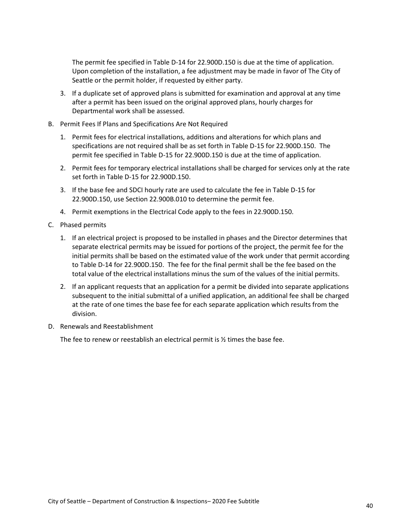The permit fee specified in Table D-14 for 22.900D.150 is due at the time of application. Upon completion of the installation, a fee adjustment may be made in favor of The City of Seattle or the permit holder, if requested by either party.

- 3. If a duplicate set of approved plans is submitted for examination and approval at any time after a permit has been issued on the original approved plans, hourly charges for Departmental work shall be assessed.
- B. Permit Fees If Plans and Specifications Are Not Required
	- 1. Permit fees for electrical installations, additions and alterations for which plans and specifications are not required shall be as set forth in Table D-15 for 22.900D.150. The permit fee specified in Table D-15 for 22.900D.150 is due at the time of application.
	- 2. Permit fees for temporary electrical installations shall be charged for services only at the rate set forth in Table D-15 for 22.900D.150.
	- 3. If the base fee and SDCI hourly rate are used to calculate the fee in Table D-15 for 22.900D.150, use Section 22.900B.010 to determine the permit fee.
	- 4. Permit exemptions in the Electrical Code apply to the fees in 22.900D.150.
- C. Phased permits
	- 1. If an electrical project is proposed to be installed in phases and the Director determines that separate electrical permits may be issued for portions of the project, the permit fee for the initial permits shall be based on the estimated value of the work under that permit according to Table D-14 for 22.900D.150. The fee for the final permit shall be the fee based on the total value of the electrical installations minus the sum of the values of the initial permits.
	- 2. If an applicant requests that an application for a permit be divided into separate applications subsequent to the initial submittal of a unified application, an additional fee shall be charged at the rate of one times the base fee for each separate application which results from the division.
- D. Renewals and Reestablishment

The fee to renew or reestablish an electrical permit is ½ times the base fee.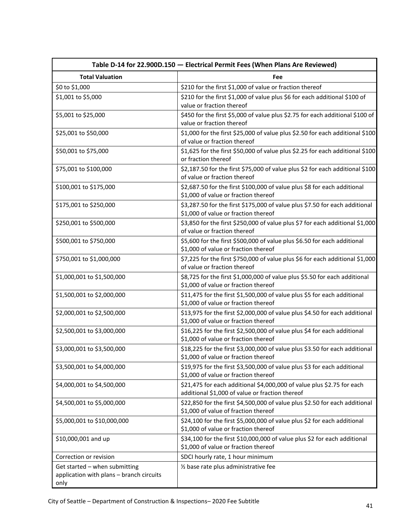<span id="page-40-0"></span>

|                                                                                   | Table D-14 for 22.900D.150 - Electrical Permit Fees (When Plans Are Reviewed)                                             |
|-----------------------------------------------------------------------------------|---------------------------------------------------------------------------------------------------------------------------|
| <b>Total Valuation</b>                                                            | Fee                                                                                                                       |
| \$0 to \$1,000                                                                    | \$210 for the first \$1,000 of value or fraction thereof                                                                  |
| \$1,001 to \$5,000                                                                | \$210 for the first \$1,000 of value plus \$6 for each additional \$100 of<br>value or fraction thereof                   |
| \$5,001 to \$25,000                                                               | \$450 for the first \$5,000 of value plus \$2.75 for each additional \$100 of<br>value or fraction thereof                |
| \$25,001 to \$50,000                                                              | \$1,000 for the first \$25,000 of value plus \$2.50 for each additional \$100<br>of value or fraction thereof             |
| \$50,001 to \$75,000                                                              | \$1,625 for the first \$50,000 of value plus \$2.25 for each additional \$100<br>or fraction thereof                      |
| \$75,001 to \$100,000                                                             | \$2,187.50 for the first \$75,000 of value plus \$2 for each additional \$100<br>of value or fraction thereof             |
| \$100,001 to \$175,000                                                            | \$2,687.50 for the first \$100,000 of value plus \$8 for each additional<br>\$1,000 of value or fraction thereof          |
| \$175,001 to \$250,000                                                            | \$3,287.50 for the first \$175,000 of value plus \$7.50 for each additional<br>\$1,000 of value or fraction thereof       |
| \$250,001 to \$500,000                                                            | \$3,850 for the first \$250,000 of value plus \$7 for each additional \$1,000<br>of value or fraction thereof             |
| \$500,001 to \$750,000                                                            | \$5,600 for the first \$500,000 of value plus \$6.50 for each additional<br>\$1,000 of value or fraction thereof          |
| \$750,001 to \$1,000,000                                                          | \$7,225 for the first \$750,000 of value plus \$6 for each additional \$1,000<br>of value or fraction thereof             |
| \$1,000,001 to \$1,500,000                                                        | \$8,725 for the first \$1,000,000 of value plus \$5.50 for each additional<br>\$1,000 of value or fraction thereof        |
| \$1,500,001 to \$2,000,000                                                        | \$11,475 for the first \$1,500,000 of value plus \$5 for each additional<br>\$1,000 of value or fraction thereof          |
| \$2,000,001 to \$2,500,000                                                        | \$13,975 for the first \$2,000,000 of value plus \$4.50 for each additional<br>\$1,000 of value or fraction thereof       |
| \$2,500,001 to \$3,000,000                                                        | \$16,225 for the first \$2,500,000 of value plus \$4 for each additional<br>\$1,000 of value or fraction thereof          |
| \$3,000,001 to \$3,500,000                                                        | \$18,225 for the first \$3,000,000 of value plus \$3.50 for each additional<br>\$1,000 of value or fraction thereof       |
| \$3,500,001 to \$4,000,000                                                        | \$19,975 for the first \$3,500,000 of value plus \$3 for each additional<br>\$1,000 of value or fraction thereof          |
| \$4,000,001 to \$4,500,000                                                        | \$21,475 for each additional \$4,000,000 of value plus \$2.75 for each<br>additional \$1,000 of value or fraction thereof |
| \$4,500,001 to \$5,000,000                                                        | \$22,850 for the first \$4,500,000 of value plus \$2.50 for each additional<br>\$1,000 of value of fraction thereof       |
| \$5,000,001 to \$10,000,000                                                       | \$24,100 for the first \$5,000,000 of value plus \$2 for each additional<br>\$1,000 of value or fraction thereof          |
| \$10,000,001 and up                                                               | \$34,100 for the first \$10,000,000 of value plus \$2 for each additional<br>\$1,000 of value or fraction thereof         |
| Correction or revision                                                            | SDCI hourly rate, 1 hour minimum                                                                                          |
| Get started - when submitting<br>application with plans - branch circuits<br>only | 1/2 base rate plus administrative fee                                                                                     |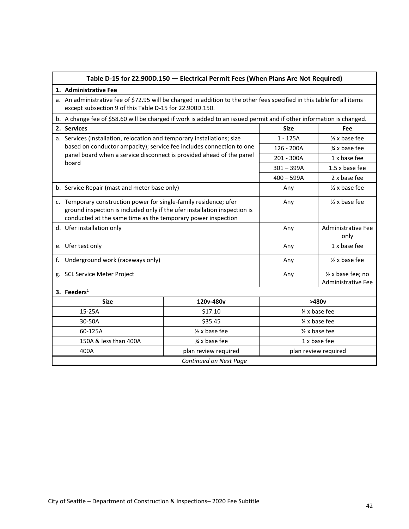<span id="page-41-0"></span>

|                                                                                                                                                                                                                | Table D-15 for 22.900D.150 - Electrical Permit Fees (When Plans Are Not Required)                                                                                                  |                           |                                   |                                          |  |
|----------------------------------------------------------------------------------------------------------------------------------------------------------------------------------------------------------------|------------------------------------------------------------------------------------------------------------------------------------------------------------------------------------|---------------------------|-----------------------------------|------------------------------------------|--|
|                                                                                                                                                                                                                | 1. Administrative Fee                                                                                                                                                              |                           |                                   |                                          |  |
|                                                                                                                                                                                                                | a. An administrative fee of \$72.95 will be charged in addition to the other fees specified in this table for all items<br>except subsection 9 of this Table D-15 for 22.900D.150. |                           |                                   |                                          |  |
|                                                                                                                                                                                                                | b. A change fee of \$58.60 will be charged if work is added to an issued permit and if other information is changed.                                                               |                           |                                   |                                          |  |
|                                                                                                                                                                                                                | 2. Services                                                                                                                                                                        |                           | <b>Size</b>                       | Fee                                      |  |
|                                                                                                                                                                                                                | a. Services (installation, relocation and temporary installations; size                                                                                                            |                           | $1 - 125A$                        | $\frac{1}{2}$ x base fee                 |  |
|                                                                                                                                                                                                                | based on conductor ampacity); service fee includes connection to one                                                                                                               |                           | 126 - 200A                        | $\frac{3}{4}$ x base fee                 |  |
|                                                                                                                                                                                                                | panel board when a service disconnect is provided ahead of the panel<br>board                                                                                                      |                           | 201 - 300A                        | 1 x base fee                             |  |
|                                                                                                                                                                                                                |                                                                                                                                                                                    |                           | $301 - 399A$                      | 1.5 x base fee                           |  |
|                                                                                                                                                                                                                |                                                                                                                                                                                    |                           | $400 - 599A$                      | 2 x base fee                             |  |
| b. Service Repair (mast and meter base only)                                                                                                                                                                   |                                                                                                                                                                                    |                           | Any                               | $\frac{1}{2}$ x base fee                 |  |
| c. Temporary construction power for single-family residence; ufer<br>ground inspection is included only if the ufer installation inspection is<br>conducted at the same time as the temporary power inspection |                                                                                                                                                                                    |                           | Any                               | $\frac{1}{2}$ x base fee                 |  |
| d. Ufer installation only                                                                                                                                                                                      |                                                                                                                                                                                    | Any                       | <b>Administrative Fee</b><br>only |                                          |  |
| e. Ufer test only                                                                                                                                                                                              |                                                                                                                                                                                    |                           | Any                               | 1 x base fee                             |  |
| Underground work (raceways only)<br>f.                                                                                                                                                                         |                                                                                                                                                                                    |                           | Any                               | $\frac{1}{2}$ x base fee                 |  |
|                                                                                                                                                                                                                | g. SCL Service Meter Project                                                                                                                                                       |                           | Any                               | 1/2 x base fee; no<br>Administrative Fee |  |
|                                                                                                                                                                                                                | 3. Feeders $1$                                                                                                                                                                     |                           |                                   |                                          |  |
|                                                                                                                                                                                                                | <b>Size</b>                                                                                                                                                                        | 120v-480v                 |                                   | >480v                                    |  |
| 15-25A                                                                                                                                                                                                         |                                                                                                                                                                                    | \$17.10                   | 1/4 x base fee                    |                                          |  |
|                                                                                                                                                                                                                | 30-50A                                                                                                                                                                             | \$35.45<br>1/4 x base fee |                                   |                                          |  |
| 60-125A<br>$\frac{1}{2}$ x base fee<br>$\frac{1}{2}$ x base fee                                                                                                                                                |                                                                                                                                                                                    |                           |                                   |                                          |  |
|                                                                                                                                                                                                                | 150A & less than 400A                                                                                                                                                              | $\frac{3}{4}$ x base fee  |                                   | 1 x base fee                             |  |
| 400A<br>plan review required<br>plan review required                                                                                                                                                           |                                                                                                                                                                                    |                           |                                   |                                          |  |
|                                                                                                                                                                                                                |                                                                                                                                                                                    | Continued on Next Page    |                                   |                                          |  |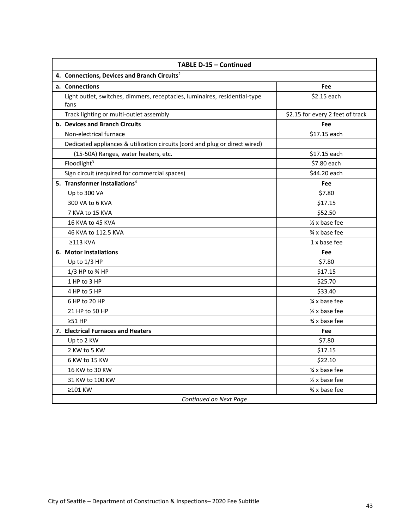| TABLE D-15 - Continued                                                             |                                  |  |  |  |
|------------------------------------------------------------------------------------|----------------------------------|--|--|--|
| 4. Connections, Devices and Branch Circuits <sup>2</sup>                           |                                  |  |  |  |
| a. Connections                                                                     | Fee                              |  |  |  |
| Light outlet, switches, dimmers, receptacles, luminaires, residential-type<br>fans | \$2.15 each                      |  |  |  |
| Track lighting or multi-outlet assembly                                            | \$2.15 for every 2 feet of track |  |  |  |
| <b>b. Devices and Branch Circuits</b>                                              | Fee                              |  |  |  |
| Non-electrical furnace                                                             | \$17.15 each                     |  |  |  |
| Dedicated appliances & utilization circuits (cord and plug or direct wired)        |                                  |  |  |  |
| (15-50A) Ranges, water heaters, etc.                                               | \$17.15 each                     |  |  |  |
| Floodlight <sup>3</sup>                                                            | \$7.80 each                      |  |  |  |
| Sign circuit (required for commercial spaces)                                      | \$44.20 each                     |  |  |  |
| 5. Transformer Installations <sup>4</sup>                                          | Fee                              |  |  |  |
| Up to 300 VA                                                                       | \$7.80                           |  |  |  |
| 300 VA to 6 KVA                                                                    | \$17.15                          |  |  |  |
| 7 KVA to 15 KVA                                                                    | \$52.50                          |  |  |  |
| 16 KVA to 45 KVA                                                                   | $\frac{1}{2}$ x base fee         |  |  |  |
| 46 KVA to 112.5 KVA                                                                | % x base fee                     |  |  |  |
| $\geq$ 113 KVA                                                                     | 1 x base fee                     |  |  |  |
| 6. Motor Installations                                                             | Fee                              |  |  |  |
| Up to 1/3 HP                                                                       | \$7.80                           |  |  |  |
| 1/3 HP to % HP                                                                     | \$17.15                          |  |  |  |
| 1 HP to 3 HP                                                                       | \$25.70                          |  |  |  |
| 4 HP to 5 HP                                                                       | \$33.40                          |  |  |  |
| 6 HP to 20 HP                                                                      | $\frac{1}{4}$ x base fee         |  |  |  |
| 21 HP to 50 HP                                                                     | $\frac{1}{2}$ x base fee         |  |  |  |
| $\geq 51$ HP                                                                       | % x base fee                     |  |  |  |
| 7. Electrical Furnaces and Heaters                                                 | Fee                              |  |  |  |
| Up to 2 KW                                                                         | \$7.80                           |  |  |  |
| 2 KW to 5 KW                                                                       | \$17.15                          |  |  |  |
| 6 KW to 15 KW                                                                      | \$22.10                          |  |  |  |
| 16 KW to 30 KW                                                                     | $\frac{1}{4}$ x base fee         |  |  |  |
| 31 KW to 100 KW                                                                    | $\frac{1}{2}$ x base fee         |  |  |  |
| ≥101 KW                                                                            | 3⁄4 x base fee                   |  |  |  |
| Continued on Next Page                                                             |                                  |  |  |  |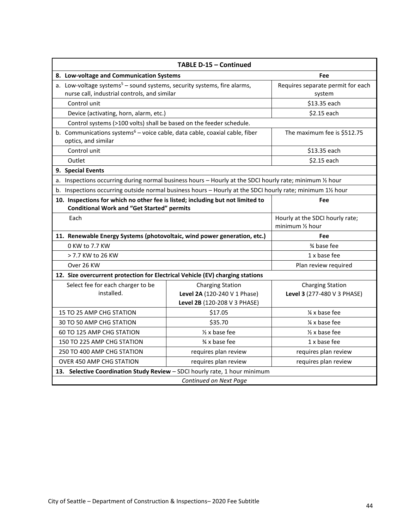| TABLE D-15 - Continued                                                                                                              |                                                                                         |                                                        |  |  |
|-------------------------------------------------------------------------------------------------------------------------------------|-----------------------------------------------------------------------------------------|--------------------------------------------------------|--|--|
| 8. Low-voltage and Communication Systems                                                                                            | Fee                                                                                     |                                                        |  |  |
| a. Low-voltage systems <sup>5</sup> - sound systems, security systems, fire alarms,<br>nurse call, industrial controls, and similar | Requires separate permit for each<br>system                                             |                                                        |  |  |
| Control unit                                                                                                                        |                                                                                         | \$13.35 each                                           |  |  |
| Device (activating, horn, alarm, etc.)                                                                                              |                                                                                         | \$2.15 each                                            |  |  |
| Control systems (>100 volts) shall be based on the feeder schedule.                                                                 |                                                                                         |                                                        |  |  |
| b. Communications systems $6$ – voice cable, data cable, coaxial cable, fiber<br>optics, and similar                                |                                                                                         | The maximum fee is \$512.75                            |  |  |
| Control unit                                                                                                                        |                                                                                         | \$13.35 each                                           |  |  |
| Outlet                                                                                                                              |                                                                                         | \$2.15 each                                            |  |  |
| 9. Special Events                                                                                                                   |                                                                                         |                                                        |  |  |
| a. Inspections occurring during normal business hours - Hourly at the SDCI hourly rate; minimum 1/2 hour                            |                                                                                         |                                                        |  |  |
| b. Inspections occurring outside normal business hours - Hourly at the SDCI hourly rate; minimum 11/2 hour                          |                                                                                         |                                                        |  |  |
| 10. Inspections for which no other fee is listed; including but not limited to<br><b>Conditional Work and "Get Started" permits</b> |                                                                                         | Fee                                                    |  |  |
| Each                                                                                                                                | Hourly at the SDCI hourly rate;<br>minimum 1/2 hour                                     |                                                        |  |  |
| 11. Renewable Energy Systems (photovoltaic, wind power generation, etc.)                                                            |                                                                                         | Fee                                                    |  |  |
| 0 KW to 7.7 KW                                                                                                                      |                                                                                         | % base fee                                             |  |  |
| > 7.7 KW to 26 KW                                                                                                                   |                                                                                         | 1 x base fee                                           |  |  |
| Over 26 KW                                                                                                                          |                                                                                         | Plan review required                                   |  |  |
| 12. Size overcurrent protection for Electrical Vehicle (EV) charging stations                                                       |                                                                                         |                                                        |  |  |
| Select fee for each charger to be<br>installed.                                                                                     | <b>Charging Station</b><br>Level 2A (120-240 V 1 Phase)<br>Level 2B (120-208 V 3 PHASE) | <b>Charging Station</b><br>Level 3 (277-480 V 3 PHASE) |  |  |
| 15 TO 25 AMP CHG STATION                                                                                                            | \$17.05                                                                                 | $\frac{1}{4}$ x base fee                               |  |  |
| 30 TO 50 AMP CHG STATION                                                                                                            | \$35.70                                                                                 | 1/ <sub>4</sub> x base fee                             |  |  |
| 60 TO 125 AMP CHG STATION                                                                                                           | $\frac{1}{2}$ x base fee                                                                | $\frac{1}{2}$ x base fee                               |  |  |
| 150 TO 225 AMP CHG STATION                                                                                                          | $\frac{3}{4}$ x base fee                                                                | 1 x base fee                                           |  |  |
| 250 TO 400 AMP CHG STATION                                                                                                          | requires plan review                                                                    | requires plan review                                   |  |  |
| OVER 450 AMP CHG STATION                                                                                                            | requires plan review                                                                    | requires plan review                                   |  |  |
|                                                                                                                                     | 13. Selective Coordination Study Review - SDCI hourly rate, 1 hour minimum              |                                                        |  |  |
| Continued on Next Page                                                                                                              |                                                                                         |                                                        |  |  |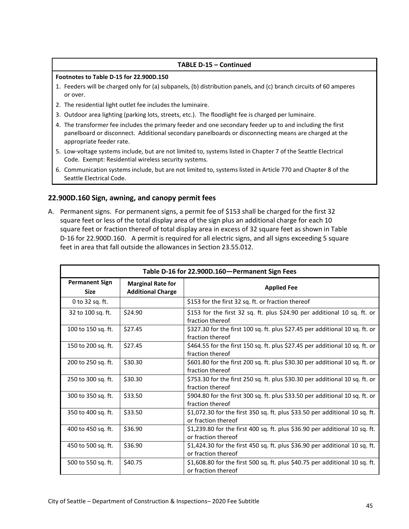### **TABLE D-15 – Continued**

### **Footnotes to Table D-15 for 22.900D.150**

- 1. Feeders will be charged only for (a) subpanels, (b) distribution panels, and (c) branch circuits of 60 amperes or over.
- 2. The residential light outlet fee includes the luminaire.
- 3. Outdoor area lighting (parking lots, streets, etc.). The floodlight fee is charged per luminaire.
- 4. The transformer fee includes the primary feeder and one secondary feeder up to and including the first panelboard or disconnect. Additional secondary panelboards or disconnecting means are charged at the appropriate feeder rate.
- 5. Low-voltage systems include, but are not limited to, systems listed in Chapter 7 of the Seattle Electrical Code. Exempt: Residential wireless security systems.
- 6. Communication systems include, but are not limited to, systems listed in Article 770 and Chapter 8 of the Seattle Electrical Code.

### <span id="page-44-0"></span>**22.900D.160 Sign, awning, and canopy permit fees**

A. Permanent signs. For permanent signs, a permit fee of \$153 shall be charged for the first 32 square feet or less of the total display area of the sign plus an additional charge for each 10 square feet or fraction thereof of total display area in excess of 32 square feet as shown in Table D-16 for 22.900D.160. A permit is required for all electric signs, and all signs exceeding 5 square feet in area that fall outside the allowances in Section 23.55.012.

<span id="page-44-1"></span>

| Table D-16 for 22.900D.160-Permanent Sign Fees |                                                      |                                                                                                    |  |
|------------------------------------------------|------------------------------------------------------|----------------------------------------------------------------------------------------------------|--|
| <b>Permanent Sign</b><br><b>Size</b>           | <b>Marginal Rate for</b><br><b>Additional Charge</b> | <b>Applied Fee</b>                                                                                 |  |
| 0 to 32 sq. ft.                                |                                                      | \$153 for the first 32 sq. ft. or fraction thereof                                                 |  |
| 32 to 100 sq. ft.                              | \$24.90                                              | \$153 for the first 32 sq. ft. plus \$24.90 per additional 10 sq. ft. or<br>fraction thereof       |  |
| 100 to 150 sq. ft.                             | \$27.45                                              | \$327.30 for the first 100 sq. ft. plus \$27.45 per additional 10 sq. ft. or<br>fraction thereof   |  |
| 150 to 200 sq. ft.                             | \$27.45                                              | \$464.55 for the first 150 sq. ft. plus \$27.45 per additional 10 sq. ft. or<br>fraction thereof   |  |
| 200 to 250 sq. ft.                             | \$30.30                                              | \$601.80 for the first 200 sq. ft. plus \$30.30 per additional 10 sq. ft. or<br>fraction thereof   |  |
| 250 to 300 sq. ft.                             | \$30.30                                              | \$753.30 for the first 250 sq. ft. plus \$30.30 per additional 10 sq. ft. or<br>fraction thereof   |  |
| 300 to 350 sq. ft.                             | \$33.50                                              | \$904.80 for the first 300 sq. ft. plus \$33.50 per additional 10 sq. ft. or<br>fraction thereof   |  |
| 350 to 400 sq. ft.                             | \$33.50                                              | \$1,072.30 for the first 350 sq. ft. plus \$33.50 per additional 10 sq. ft.<br>or fraction thereof |  |
| 400 to 450 sq. ft.                             | \$36.90                                              | \$1,239.80 for the first 400 sq. ft. plus \$36.90 per additional 10 sq. ft.<br>or fraction thereof |  |
| 450 to 500 sq. ft.                             | \$36.90                                              | \$1,424.30 for the first 450 sq. ft. plus \$36.90 per additional 10 sq. ft.<br>or fraction thereof |  |
| 500 to 550 sq. ft.                             | \$40.75                                              | \$1,608.80 for the first 500 sq. ft. plus \$40.75 per additional 10 sq. ft.<br>or fraction thereof |  |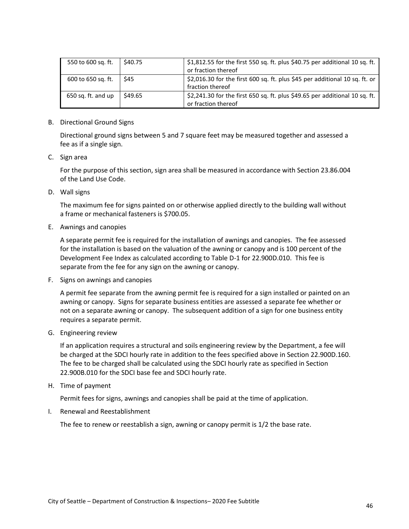| 550 to 600 sq. ft. | \$40.75 | \$1,812.55 for the first 550 sq. ft. plus \$40.75 per additional 10 sq. ft.<br>or fraction thereof |
|--------------------|---------|----------------------------------------------------------------------------------------------------|
| 600 to 650 sq. ft. | \$45    | \$2,016.30 for the first 600 sq. ft. plus \$45 per additional 10 sq. ft. or<br>fraction thereof    |
| 650 sq. ft. and up | \$49.65 | \$2,241.30 for the first 650 sq. ft. plus \$49.65 per additional 10 sq. ft.<br>or fraction thereof |

B. Directional Ground Signs

Directional ground signs between 5 and 7 square feet may be measured together and assessed a fee as if a single sign.

C. Sign area

For the purpose of this section, sign area shall be measured in accordance with Section 23.86.004 of the Land Use Code.

D. Wall signs

The maximum fee for signs painted on or otherwise applied directly to the building wall without a frame or mechanical fasteners is \$700.05.

E. Awnings and canopies

A separate permit fee is required for the installation of awnings and canopies. The fee assessed for the installation is based on the valuation of the awning or canopy and is 100 percent of the Development Fee Index as calculated according to Table D-1 for 22.900D.010. This fee is separate from the fee for any sign on the awning or canopy.

F. Signs on awnings and canopies

A permit fee separate from the awning permit fee is required for a sign installed or painted on an awning or canopy. Signs for separate business entities are assessed a separate fee whether or not on a separate awning or canopy. The subsequent addition of a sign for one business entity requires a separate permit.

G. Engineering review

If an application requires a structural and soils engineering review by the Department, a fee will be charged at the SDCI hourly rate in addition to the fees specified above in Section 22.900D.160. The fee to be charged shall be calculated using the SDCI hourly rate as specified in Section 22.900B.010 for the SDCI base fee and SDCI hourly rate.

H. Time of payment

Permit fees for signs, awnings and canopies shall be paid at the time of application.

I. Renewal and Reestablishment

The fee to renew or reestablish a sign, awning or canopy permit is 1/2 the base rate.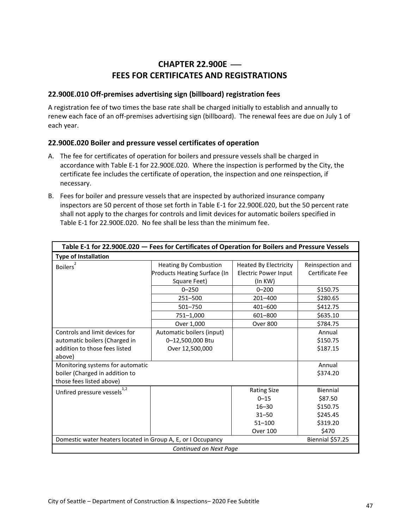# **CHAPTER 22.900E** ⎯ **FEES FOR CERTIFICATES AND REGISTRATIONS**

### <span id="page-46-1"></span><span id="page-46-0"></span>**22.900E.010 Off-premises advertising sign (billboard) registration fees**

A registration fee of two times the base rate shall be charged initially to establish and annually to renew each face of an off-premises advertising sign (billboard). The renewal fees are due on July 1 of each year.

### <span id="page-46-2"></span>**22.900E.020 Boiler and pressure vessel certificates of operation**

- A. The fee for certificates of operation for boilers and pressure vessels shall be charged in accordance with Table E-1 for 22.900E.020. Where the inspection is performed by the City, the certificate fee includes the certificate of operation, the inspection and one reinspection, if necessary.
- B. Fees for boiler and pressure vessels that are inspected by authorized insurance company inspectors are 50 percent of those set forth in Table E-1 for 22.900E.020, but the 50 percent rate shall not apply to the charges for controls and limit devices for automatic boilers specified in Table E-1 for 22.900E.020. No fee shall be less than the minimum fee.

<span id="page-46-3"></span>

| Table E-1 for 22.900E.020 - Fees for Certificates of Operation for Boilers and Pressure Vessels            |                                                                              |                                                                        |                                     |  |
|------------------------------------------------------------------------------------------------------------|------------------------------------------------------------------------------|------------------------------------------------------------------------|-------------------------------------|--|
| <b>Type of Installation</b>                                                                                |                                                                              |                                                                        |                                     |  |
| <b>Boilers</b>                                                                                             | <b>Heating By Combustion</b><br>Products Heating Surface (In<br>Square Feet) | <b>Heated By Electricity</b><br><b>Electric Power Input</b><br>(In KW) | Reinspection and<br>Certificate Fee |  |
|                                                                                                            | $0 - 250$                                                                    | $0 - 200$                                                              | \$150.75                            |  |
|                                                                                                            | 251-500                                                                      | 201-400                                                                | \$280.65                            |  |
|                                                                                                            | 501-750                                                                      | 401-600                                                                | \$412.75                            |  |
|                                                                                                            | 751-1,000                                                                    | 601-800                                                                | \$635.10                            |  |
|                                                                                                            | Over 1,000                                                                   | <b>Over 800</b>                                                        | \$784.75                            |  |
| Controls and limit devices for<br>automatic boilers (Charged in<br>addition to those fees listed<br>above) | Automatic boilers (input)<br>0-12,500,000 Btu<br>Over 12,500,000             |                                                                        | Annual<br>\$150.75<br>\$187.15      |  |
| Monitoring systems for automatic<br>boiler (Charged in addition to<br>those fees listed above)             |                                                                              |                                                                        | Annual<br>\$374.20                  |  |
| Unfired pressure vessels $1,2$                                                                             |                                                                              | <b>Rating Size</b>                                                     | Biennial                            |  |
|                                                                                                            |                                                                              | $0 - 15$                                                               | \$87.50                             |  |
|                                                                                                            |                                                                              | $16 - 30$                                                              | \$150.75                            |  |
|                                                                                                            |                                                                              | $31 - 50$                                                              | \$245.45                            |  |
|                                                                                                            |                                                                              | $51 - 100$                                                             | \$319.20                            |  |
|                                                                                                            |                                                                              | Over 100                                                               | \$470                               |  |
| Domestic water heaters located in Group A, E, or I Occupancy<br>Biennial \$57.25                           |                                                                              |                                                                        |                                     |  |
|                                                                                                            | Continued on Next Page                                                       |                                                                        |                                     |  |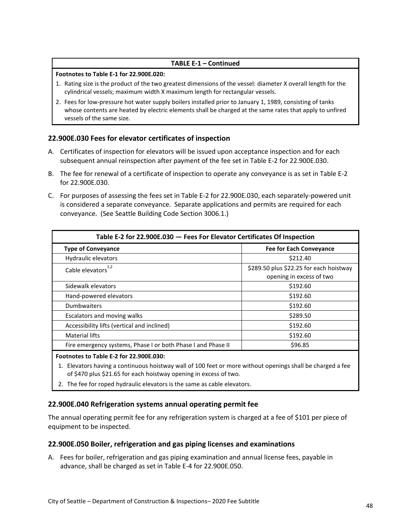### **TABLE E-1 – Continued**

#### **Footnotes to Table E-1 for 22.900E.020:**

- 1. Rating size is the product of the two greatest dimensions of the vessel: diameter X overall length for the cylindrical vessels; maximum width X maximum length for rectangular vessels.
- 2. Fees for low-pressure hot water supply boilers installed prior to January 1, 1989, consisting of tanks whose contents are heated by electric elements shall be charged at the same rates that apply to unfired vessels of the same size.

### <span id="page-47-0"></span>**22.900E.030 Fees for elevator certificates of inspection**

- A. Certificates of inspection for elevators will be issued upon acceptance inspection and for each subsequent annual reinspection after payment of the fee set in Table E-2 for 22.900E.030.
- B. The fee for renewal of a certificate of inspection to operate any conveyance is as set in Table E-2 for 22.900E.030.
- C. For purposes of assessing the fees set in Table E-2 for 22.900E.030, each separately-powered unit is considered a separate conveyance. Separate applications and permits are required for each conveyance. (See Seattle Building Code Section 3006.1.)

<span id="page-47-3"></span>

| Table E-2 for 22.900E.030 - Fees For Elevator Certificates Of Inspection |  |  |  |
|--------------------------------------------------------------------------|--|--|--|
| <b>Fee for Each Conveyance</b>                                           |  |  |  |
| \$212.40                                                                 |  |  |  |
| \$289.50 plus \$22.25 for each hoistway<br>opening in excess of two      |  |  |  |
| \$192.60                                                                 |  |  |  |
| \$192.60                                                                 |  |  |  |
| \$192.60                                                                 |  |  |  |
| \$289.50                                                                 |  |  |  |
| \$192.60                                                                 |  |  |  |
| \$192.60                                                                 |  |  |  |
| \$96.85                                                                  |  |  |  |
|                                                                          |  |  |  |

#### **Footnotes to Table E-2 for 22.900E.030:**

- 1. Elevators having a continuous hoistway wall of 100 feet or more without openings shall be charged a fee of \$470 plus \$21.65 for each hoistway opening in excess of two.
- 2. The fee for roped hydraulic elevators is the same as cable elevators.

### <span id="page-47-1"></span>**22.900E.040 Refrigeration systems annual operating permit fee**

The annual operating permit fee for any refrigeration system is charged at a fee of \$101 per piece of equipment to be inspected.

### <span id="page-47-2"></span>**22.900E.050 Boiler, refrigeration and gas piping licenses and examinations**

A. Fees for boiler, refrigeration and gas piping examination and annual license fees, payable in advance, shall be charged as set in Table E-4 for 22.900E.050.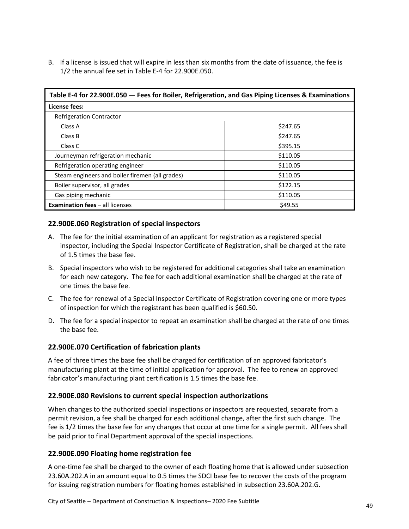B. If a license is issued that will expire in less than six months from the date of issuance, the fee is 1/2 the annual fee set in Table E-4 for 22.900E.050.

<span id="page-48-4"></span>

| Table E-4 for 22.900E.050 - Fees for Boiler, Refrigeration, and Gas Piping Licenses & Examinations |          |  |
|----------------------------------------------------------------------------------------------------|----------|--|
| License fees:                                                                                      |          |  |
| <b>Refrigeration Contractor</b>                                                                    |          |  |
| Class A                                                                                            | \$247.65 |  |
| Class B                                                                                            | \$247.65 |  |
| Class C                                                                                            | \$395.15 |  |
| Journeyman refrigeration mechanic                                                                  | \$110.05 |  |
| Refrigeration operating engineer                                                                   | \$110.05 |  |
| Steam engineers and boiler firemen (all grades)                                                    | \$110.05 |  |
| Boiler supervisor, all grades                                                                      | \$122.15 |  |
| Gas piping mechanic                                                                                | \$110.05 |  |
| \$49.55<br><b>Examination fees - all licenses</b>                                                  |          |  |

# <span id="page-48-0"></span>**22.900E.060 Registration of special inspectors**

- A. The fee for the initial examination of an applicant for registration as a registered special inspector, including the Special Inspector Certificate of Registration, shall be charged at the rate of 1.5 times the base fee.
- B. Special inspectors who wish to be registered for additional categories shall take an examination for each new category. The fee for each additional examination shall be charged at the rate of one times the base fee.
- C. The fee for renewal of a Special Inspector Certificate of Registration covering one or more types of inspection for which the registrant has been qualified is \$60.50.
- D. The fee for a special inspector to repeat an examination shall be charged at the rate of one times the base fee.

# <span id="page-48-1"></span>**22.900E.070 Certification of fabrication plants**

A fee of three times the base fee shall be charged for certification of an approved fabricator's manufacturing plant at the time of initial application for approval. The fee to renew an approved fabricator's manufacturing plant certification is 1.5 times the base fee.

### <span id="page-48-2"></span>**22.900E.080 Revisions to current special inspection authorizations**

When changes to the authorized special inspections or inspectors are requested, separate from a permit revision, a fee shall be charged for each additional change, after the first such change. The fee is 1/2 times the base fee for any changes that occur at one time for a single permit. All fees shall be paid prior to final Department approval of the special inspections.

# <span id="page-48-3"></span>**22.900E.090 Floating home registration fee**

A one-time fee shall be charged to the owner of each floating home that is allowed under subsection 23.60A.202.A in an amount equal to 0.5 times the SDCI base fee to recover the costs of the program for issuing registration numbers for floating homes established in subsection 23.60A.202.G.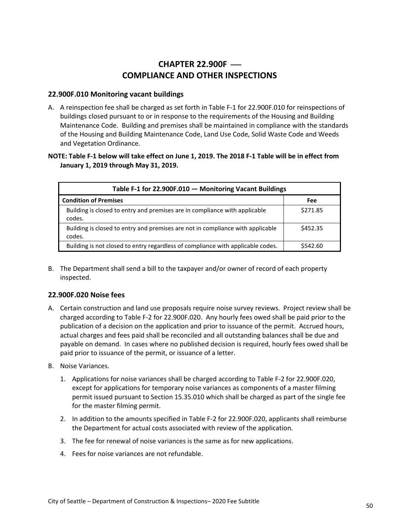# **CHAPTER 22.900F — COMPLIANCE AND OTHER INSPECTIONS**

### <span id="page-49-1"></span><span id="page-49-0"></span>**22.900F.010 Monitoring vacant buildings**

A. A reinspection fee shall be charged as set forth in Table F-1 for 22.900F.010 for reinspections of buildings closed pursuant to or in response to the requirements of the Housing and Building Maintenance Code. Building and premises shall be maintained in compliance with the standards of the Housing and Building Maintenance Code, Land Use Code, Solid Waste Code and Weeds and Vegetation Ordinance.

### **NOTE: Table F-1 below will take effect on June 1, 2019. The 2018 F-1 Table will be in effect from January 1, 2019 through May 31, 2019.**

<span id="page-49-3"></span>

| Table F-1 for 22.900F.010 - Monitoring Vacant Buildings                                  |          |  |  |
|------------------------------------------------------------------------------------------|----------|--|--|
| <b>Condition of Premises</b>                                                             | Fee      |  |  |
| Building is closed to entry and premises are in compliance with applicable<br>codes.     | \$271.85 |  |  |
| Building is closed to entry and premises are not in compliance with applicable<br>codes. | \$452.35 |  |  |
| Building is not closed to entry regardless of compliance with applicable codes.          | \$542.60 |  |  |

B. The Department shall send a bill to the taxpayer and/or owner of record of each property inspected.

### <span id="page-49-2"></span>**22.900F.020 Noise fees**

- A. Certain construction and land use proposals require noise survey reviews. Project review shall be charged according to Table F-2 for 22.900F.020. Any hourly fees owed shall be paid prior to the publication of a decision on the application and prior to issuance of the permit. Accrued hours, actual charges and fees paid shall be reconciled and all outstanding balances shall be due and payable on demand. In cases where no published decision is required, hourly fees owed shall be paid prior to issuance of the permit, or issuance of a letter.
- B. Noise Variances.
	- 1. Applications for noise variances shall be charged according to Table F-2 for 22.900F.020, except for applications for temporary noise variances as components of a master filming permit issued pursuant to Section 15.35.010 which shall be charged as part of the single fee for the master filming permit.
	- 2. In addition to the amounts specified in Table F-2 for 22.900F.020, applicants shall reimburse the Department for actual costs associated with review of the application.
	- 3. The fee for renewal of noise variances is the same as for new applications.
	- 4. Fees for noise variances are not refundable.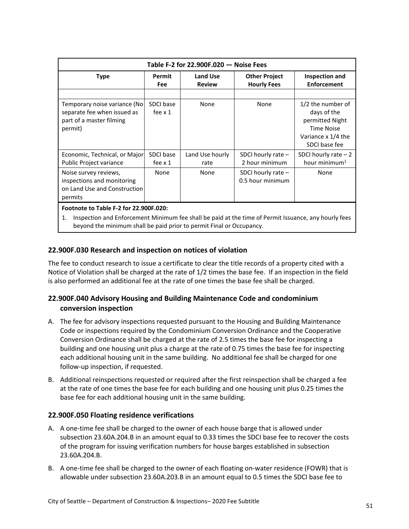<span id="page-50-3"></span>

| Table F-2 for 22.900F.020 - Noise Fees                                                              |                             |                           |                                            |                                                                                                                 |
|-----------------------------------------------------------------------------------------------------|-----------------------------|---------------------------|--------------------------------------------|-----------------------------------------------------------------------------------------------------------------|
| <b>Type</b>                                                                                         | Permit<br><b>Fee</b>        | Land Use<br><b>Review</b> | <b>Other Project</b><br><b>Hourly Fees</b> | Inspection and<br><b>Enforcement</b>                                                                            |
|                                                                                                     |                             |                           |                                            |                                                                                                                 |
| Temporary noise variance (No)<br>separate fee when issued as<br>part of a master filming<br>permit) | SDCI base<br>fee $\times$ 1 | None                      | None                                       | 1/2 the number of<br>days of the<br>permitted Night<br><b>Time Noise</b><br>Variance x 1/4 the<br>SDCI base fee |
| Economic, Technical, or Major<br>Public Project variance                                            | SDCI base<br>fee $\times$ 1 | Land Use hourly<br>rate   | SDCI hourly rate $-$<br>2 hour minimum     | SDCI hourly rate $-2$<br>hour minimum $1$                                                                       |
| Noise survey reviews,<br>inspections and monitoring<br>on Land Use and Construction<br>permits      | <b>None</b>                 | None                      | SDCI hourly rate $-$<br>0.5 hour minimum   | None                                                                                                            |
| Footnote to Table F-2 for 22.900F.020:                                                              |                             |                           |                                            |                                                                                                                 |

1. Inspection and Enforcement Minimum fee shall be paid at the time of Permit Issuance, any hourly fees beyond the minimum shall be paid prior to permit Final or Occupancy.

# <span id="page-50-0"></span>**22.900F.030 Research and inspection on notices of violation**

The fee to conduct research to issue a certificate to clear the title records of a property cited with a Notice of Violation shall be charged at the rate of 1/2 times the base fee. If an inspection in the field is also performed an additional fee at the rate of one times the base fee shall be charged.

# <span id="page-50-1"></span>**22.900F.040 Advisory Housing and Building Maintenance Code and condominium conversion inspection**

- A. The fee for advisory inspections requested pursuant to the Housing and Building Maintenance Code or inspections required by the Condominium Conversion Ordinance and the Cooperative Conversion Ordinance shall be charged at the rate of 2.5 times the base fee for inspecting a building and one housing unit plus a charge at the rate of 0.75 times the base fee for inspecting each additional housing unit in the same building. No additional fee shall be charged for one follow-up inspection, if requested.
- B. Additional reinspections requested or required after the first reinspection shall be charged a fee at the rate of one times the base fee for each building and one housing unit plus 0.25 times the base fee for each additional housing unit in the same building.

# <span id="page-50-2"></span>**22.900F.050 Floating residence verifications**

- A. A one-time fee shall be charged to the owner of each house barge that is allowed under subsection 23.60A.204.B in an amount equal to 0.33 times the SDCI base fee to recover the costs of the program for issuing verification numbers for house barges established in subsection 23.60A.204.B.
- B. A one-time fee shall be charged to the owner of each floating on-water residence (FOWR) that is allowable under subsection 23.60A.203.B in an amount equal to 0.5 times the SDCI base fee to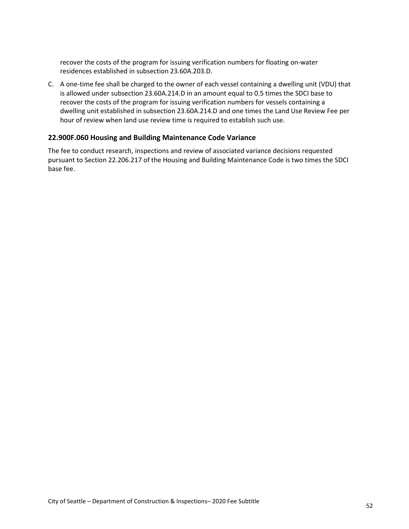recover the costs of the program for issuing verification numbers for floating on-water residences established in subsection 23.60A.203.D.

C. A one-time fee shall be charged to the owner of each vessel containing a dwelling unit (VDU) that is allowed under subsection 23.60A.214.D in an amount equal to 0.5 times the SDCI base to recover the costs of the program for issuing verification numbers for vessels containing a dwelling unit established in subsection 23.60A.214.D and one times the Land Use Review Fee per hour of review when land use review time is required to establish such use.

### <span id="page-51-0"></span>**22.900F.060 Housing and Building Maintenance Code Variance**

The fee to conduct research, inspections and review of associated variance decisions requested pursuant to Section 22.206.217 of the Housing and Building Maintenance Code is two times the SDCI base fee.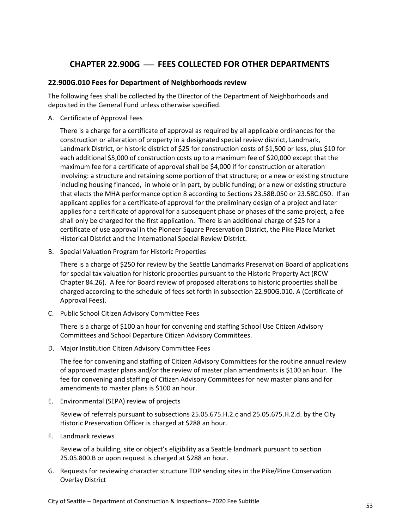# **CHAPTER 22.900G** ⎯ **FEES COLLECTED FOR OTHER DEPARTMENTS**

### <span id="page-52-1"></span><span id="page-52-0"></span>**22.900G.010 Fees for Department of Neighborhoods review**

The following fees shall be collected by the Director of the Department of Neighborhoods and deposited in the General Fund unless otherwise specified.

A. Certificate of Approval Fees

There is a charge for a certificate of approval as required by all applicable ordinances for the construction or alteration of property in a designated special review district, Landmark, Landmark District, or historic district of \$25 for construction costs of \$1,500 or less, plus \$10 for each additional \$5,000 of construction costs up to a maximum fee of \$20,000 except that the maximum fee for a certificate of approval shall be \$4,000 if for construction or alteration involving: a structure and retaining some portion of that structure; or a new or existing structure including housing financed, in whole or in part, by public funding; or a new or existing structure that elects the MHA performance option 8 according to Sections 23.58B.050 or 23.58C.050. If an applicant applies for a certificate of approval for the preliminary design of a project and later applies for a certificate of approval for a subsequent phase or phases of the same project, a fee shall only be charged for the first application. There is an additional charge of \$25 for a certificate of use approval in the Pioneer Square Preservation District, the Pike Place Market Historical District and the International Special Review District.

B. Special Valuation Program for Historic Properties

There is a charge of \$250 for review by the Seattle Landmarks Preservation Board of applications for special tax valuation for historic properties pursuant to the Historic Property Act (RCW Chapter 84.26). A fee for Board review of proposed alterations to historic properties shall be charged according to the schedule of fees set forth in subsection 22.900G.010. A (Certificate of Approval Fees).

C. Public School Citizen Advisory Committee Fees

There is a charge of \$100 an hour for convening and staffing School Use Citizen Advisory Committees and School Departure Citizen Advisory Committees.

D. Major Institution Citizen Advisory Committee Fees

The fee for convening and staffing of Citizen Advisory Committees for the routine annual review of approved master plans and/or the review of master plan amendments is \$100 an hour. The fee for convening and staffing of Citizen Advisory Committees for new master plans and for amendments to master plans is \$100 an hour.

E. Environmental (SEPA) review of projects

Review of referrals pursuant to subsections 25.05.675.H.2.c and 25.05.675.H.2.d. by the City Historic Preservation Officer is charged at \$288 an hour.

F. Landmark reviews

Review of a building, site or object's eligibility as a Seattle landmark pursuant to section 25.05.800.B or upon request is charged at \$288 an hour.

G. Requests for reviewing character structure TDP sending sites in the Pike/Pine Conservation Overlay District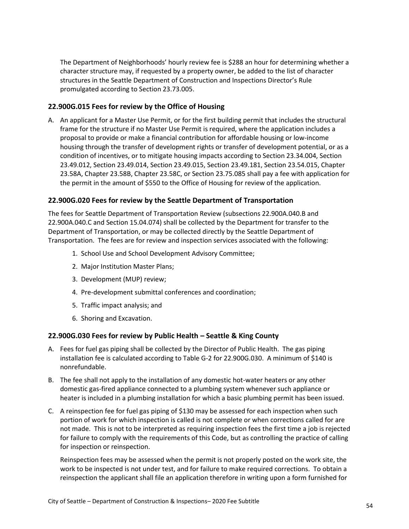The Department of Neighborhoods' hourly review fee is \$288 an hour for determining whether a character structure may, if requested by a property owner, be added to the list of character structures in the Seattle Department of Construction and Inspections Director's Rule promulgated according to Section 23.73.005.

# <span id="page-53-0"></span>**22.900G.015 Fees for review by the Office of Housing**

A. An applicant for a Master Use Permit, or for the first building permit that includes the structural frame for the structure if no Master Use Permit is required, where the application includes a proposal to provide or make a financial contribution for affordable housing or low-income housing through the transfer of development rights or transfer of development potential, or as a condition of incentives, or to mitigate housing impacts according to Section 23.34.004, Section 23.49.012, Section 23.49.014, Section 23.49.015, Section 23.49.181, Section 23.54.015, Chapter 23.58A, Chapter 23.58B, Chapter 23.58C, or Section 23.75.085 shall pay a fee with application for the permit in the amount of \$550 to the Office of Housing for review of the application.

### <span id="page-53-1"></span>**22.900G.020 Fees for review by the Seattle Department of Transportation**

The fees for Seattle Department of Transportation Review (subsections 22.900A.040.B and 22.900A.040.C and Section 15.04.074) shall be collected by the Department for transfer to the Department of Transportation, or may be collected directly by the Seattle Department of Transportation. The fees are for review and inspection services associated with the following:

- 1. School Use and School Development Advisory Committee;
- 2. Major Institution Master Plans;
- 3. Development (MUP) review;
- 4. Pre-development submittal conferences and coordination;
- 5. Traffic impact analysis; and
- 6. Shoring and Excavation.

### <span id="page-53-2"></span>**22.900G.030 Fees for review by Public Health – Seattle & King County**

- A. Fees for fuel gas piping shall be collected by the Director of Public Health. The gas piping installation fee is calculated according to Table G-2 for 22.900G.030. A minimum of \$140 is nonrefundable.
- B. The fee shall not apply to the installation of any domestic hot-water heaters or any other domestic gas-fired appliance connected to a plumbing system whenever such appliance or heater is included in a plumbing installation for which a basic plumbing permit has been issued.
- C. A reinspection fee for fuel gas piping of \$130 may be assessed for each inspection when such portion of work for which inspection is called is not complete or when corrections called for are not made. This is not to be interpreted as requiring inspection fees the first time a job is rejected for failure to comply with the requirements of this Code, but as controlling the practice of calling for inspection or reinspection.

Reinspection fees may be assessed when the permit is not properly posted on the work site, the work to be inspected is not under test, and for failure to make required corrections. To obtain a reinspection the applicant shall file an application therefore in writing upon a form furnished for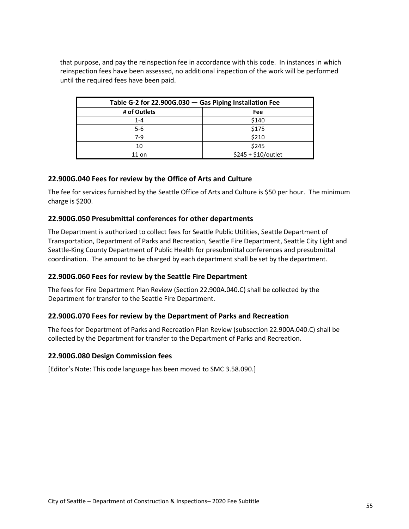that purpose, and pay the reinspection fee in accordance with this code. In instances in which reinspection fees have been assessed, no additional inspection of the work will be performed until the required fees have been paid.

<span id="page-54-5"></span>

| Table G-2 for 22.900G.030 - Gas Piping Installation Fee |                      |  |
|---------------------------------------------------------|----------------------|--|
| # of Outlets                                            | <b>Fee</b>           |  |
| $1 - 4$                                                 | \$140                |  |
| $5-6$                                                   | \$175                |  |
| 7-9                                                     | \$210                |  |
| 10                                                      | \$245                |  |
| $11$ on                                                 | $$245 + $10/$ outlet |  |

### <span id="page-54-0"></span>**22.900G.040 Fees for review by the Office of Arts and Culture**

The fee for services furnished by the Seattle Office of Arts and Culture is \$50 per hour. The minimum charge is \$200.

### <span id="page-54-1"></span>**22.900G.050 Presubmittal conferences for other departments**

The Department is authorized to collect fees for Seattle Public Utilities, Seattle Department of Transportation, Department of Parks and Recreation, Seattle Fire Department, Seattle City Light and Seattle-King County Department of Public Health for presubmittal conferences and presubmittal coordination. The amount to be charged by each department shall be set by the department.

### <span id="page-54-2"></span>**22.900G.060 Fees for review by the Seattle Fire Department**

The fees for Fire Department Plan Review (Section 22.900A.040.C) shall be collected by the Department for transfer to the Seattle Fire Department.

### <span id="page-54-3"></span>**22.900G.070 Fees for review by the Department of Parks and Recreation**

The fees for Department of Parks and Recreation Plan Review (subsection 22.900A.040.C) shall be collected by the Department for transfer to the Department of Parks and Recreation.

#### <span id="page-54-4"></span>**22.900G.080 Design Commission fees**

[Editor's Note: This code language has been moved to SMC 3.58.090.]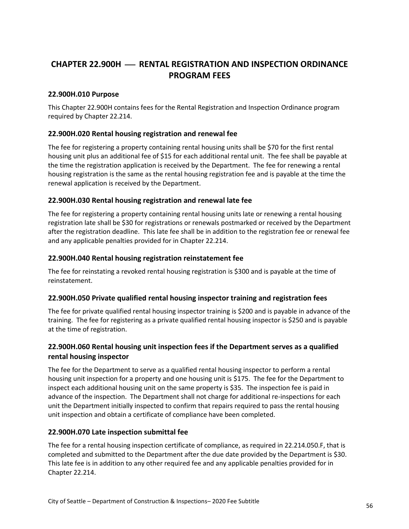# <span id="page-55-0"></span>**CHAPTER 22.900H** ⎯ **RENTAL REGISTRATION AND INSPECTION ORDINANCE PROGRAM FEES**

### <span id="page-55-1"></span>**22.900H.010 Purpose**

This Chapter 22.900H contains fees for the Rental Registration and Inspection Ordinance program required by Chapter 22.214.

### <span id="page-55-2"></span>**22.900H.020 Rental housing registration and renewal fee**

The fee for registering a property containing rental housing units shall be \$70 for the first rental housing unit plus an additional fee of \$15 for each additional rental unit. The fee shall be payable at the time the registration application is received by the Department. The fee for renewing a rental housing registration is the same as the rental housing registration fee and is payable at the time the renewal application is received by the Department.

### <span id="page-55-3"></span>**22.900H.030 Rental housing registration and renewal late fee**

The fee for registering a property containing rental housing units late or renewing a rental housing registration late shall be \$30 for registrations or renewals postmarked or received by the Department after the registration deadline. This late fee shall be in addition to the registration fee or renewal fee and any applicable penalties provided for in Chapter 22.214.

### <span id="page-55-4"></span>**22.900H.040 Rental housing registration reinstatement fee**

The fee for reinstating a revoked rental housing registration is \$300 and is payable at the time of reinstatement.

### <span id="page-55-5"></span>**22.900H.050 Private qualified rental housing inspector training and registration fees**

The fee for private qualified rental housing inspector training is \$200 and is payable in advance of the training. The fee for registering as a private qualified rental housing inspector is \$250 and is payable at the time of registration.

# <span id="page-55-6"></span>**22.900H.060 Rental housing unit inspection fees if the Department serves as a qualified rental housing inspector**

The fee for the Department to serve as a qualified rental housing inspector to perform a rental housing unit inspection for a property and one housing unit is \$175. The fee for the Department to inspect each additional housing unit on the same property is \$35. The inspection fee is paid in advance of the inspection. The Department shall not charge for additional re-inspections for each unit the Department initially inspected to confirm that repairs required to pass the rental housing unit inspection and obtain a certificate of compliance have been completed.

### <span id="page-55-7"></span>**22.900H.070 Late inspection submittal fee**

The fee for a rental housing inspection certificate of compliance, as required in 22.214.050.F, that is completed and submitted to the Department after the due date provided by the Department is \$30. This late fee is in addition to any other required fee and any applicable penalties provided for in Chapter 22.214.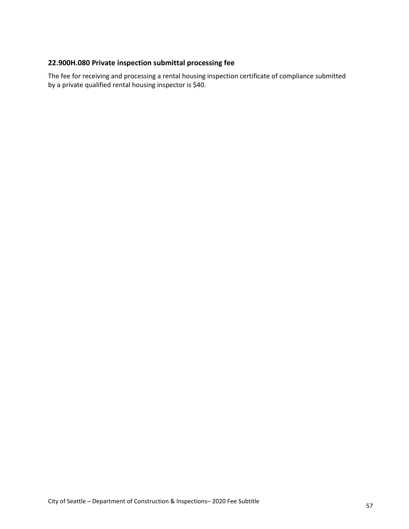# <span id="page-56-0"></span>**22.900H.080 Private inspection submittal processing fee**

The fee for receiving and processing a rental housing inspection certificate of compliance submitted by a private qualified rental housing inspector is \$40.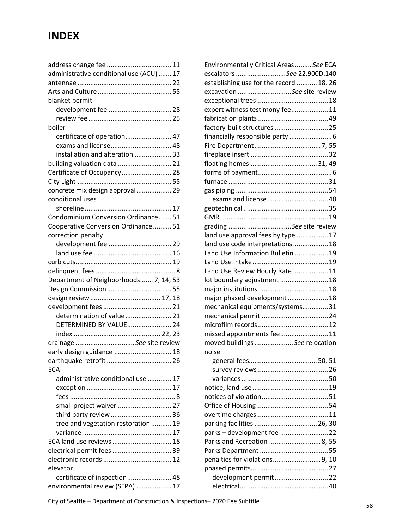# **INDEX**

| administrative conditional use (ACU)  17 |  |
|------------------------------------------|--|
|                                          |  |
|                                          |  |
| blanket permit                           |  |
|                                          |  |
|                                          |  |
| boiler                                   |  |
| certificate of operation 47              |  |
| exams and license 48                     |  |
| installation and alteration  33          |  |
| building valuation data  21              |  |
| Certificate of Occupancy 28              |  |
|                                          |  |
| concrete mix design approval 29          |  |
| conditional uses                         |  |
|                                          |  |
| Condominium Conversion Ordinance 51      |  |
| Cooperative Conversion Ordinance  51     |  |
|                                          |  |
| correction penalty                       |  |
|                                          |  |
|                                          |  |
|                                          |  |
|                                          |  |
| Department of Neighborhoods 7, 14, 53    |  |
|                                          |  |
|                                          |  |
|                                          |  |
| determination of value 21                |  |
| DETERMINED BY VALUE 24                   |  |
|                                          |  |
| drainage See site review                 |  |
| early design guidance  18                |  |
|                                          |  |
| <b>ECA</b>                               |  |
| administrative conditional use  17       |  |
|                                          |  |
|                                          |  |
| small project waiver  27                 |  |
| third party review  36                   |  |
| tree and vegetation restoration  19      |  |
|                                          |  |
| ECA land use reviews  18                 |  |
| electrical permit fees  39               |  |
|                                          |  |
| elevator                                 |  |
| certificate of inspection 48             |  |
| environmental review (SEPA)  17          |  |

| Environmentally Critical Areas  See ECA |  |
|-----------------------------------------|--|
| escalators See 22.900D.140              |  |
| establishing use for the record  18, 26 |  |
| excavation See site review              |  |
|                                         |  |
| expert witness testimony fee 11         |  |
|                                         |  |
| factory-built structures  25            |  |
| financially responsible party  6        |  |
|                                         |  |
|                                         |  |
|                                         |  |
|                                         |  |
|                                         |  |
|                                         |  |
|                                         |  |
|                                         |  |
|                                         |  |
| grading See site review                 |  |
| land use approval fees by type  17      |  |
| land use code interpretations  18       |  |
| Land Use Information Bulletin  19       |  |
|                                         |  |
| Land Use Review Hourly Rate  11         |  |
| lot boundary adjustment  18             |  |
|                                         |  |
| major phased development 18             |  |
| mechanical equipments/systems31         |  |
|                                         |  |
|                                         |  |
| missed appointments fee 11              |  |
| moved buildings See relocation          |  |
| noise                                   |  |
|                                         |  |
|                                         |  |
|                                         |  |
|                                         |  |
|                                         |  |
|                                         |  |
|                                         |  |
|                                         |  |
| parks - development fee  22             |  |
| Parks and Recreation  8, 55             |  |
|                                         |  |
| penalties for violations9, 10           |  |
|                                         |  |
| development permit22                    |  |
|                                         |  |

City of Seattle – Department of Construction & Inspections– 2020 Fee Subtitle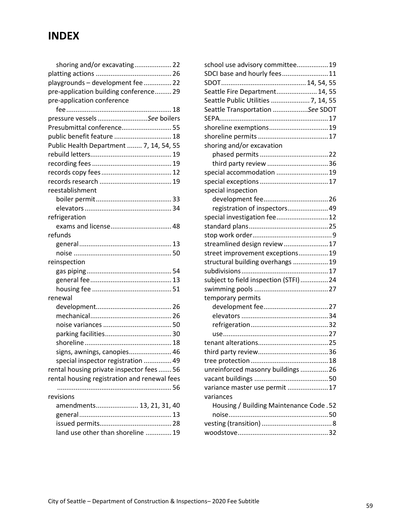# **INDEX**

| shoring and/or excavating 22                 |  |
|----------------------------------------------|--|
|                                              |  |
| playgrounds - development fee  22            |  |
| pre-application building conference 29       |  |
| pre-application conference                   |  |
|                                              |  |
| pressure vessels See boilers                 |  |
| Presubmittal conference 55                   |  |
| public benefit feature  18                   |  |
| Public Health Department  7, 14, 54, 55      |  |
|                                              |  |
|                                              |  |
|                                              |  |
|                                              |  |
| reestablishment                              |  |
|                                              |  |
|                                              |  |
| refrigeration                                |  |
| exams and license 48                         |  |
| refunds                                      |  |
|                                              |  |
|                                              |  |
| reinspection                                 |  |
|                                              |  |
|                                              |  |
|                                              |  |
| renewal                                      |  |
|                                              |  |
|                                              |  |
|                                              |  |
|                                              |  |
|                                              |  |
| signs, awnings, canopies 46                  |  |
| special inspector registration  49           |  |
| rental housing private inspector fees 56     |  |
| rental housing registration and renewal fees |  |
|                                              |  |
| revisions                                    |  |
| amendments 13, 21, 31, 40                    |  |
|                                              |  |
|                                              |  |
| land use other than shoreline  19            |  |
|                                              |  |

| school use advisory committee 19        |  |
|-----------------------------------------|--|
| SDCI base and hourly fees 11            |  |
|                                         |  |
| Seattle Fire Department 14, 55          |  |
| Seattle Public Utilities  7, 14, 55     |  |
| Seattle Transportation See SDOT         |  |
|                                         |  |
| shoreline exemptions 19                 |  |
|                                         |  |
| shoring and/or excavation               |  |
|                                         |  |
| third party review  36                  |  |
| special accommodation  19               |  |
|                                         |  |
| special inspection                      |  |
|                                         |  |
| registration of inspectors 49           |  |
| special investigation fee 12            |  |
|                                         |  |
|                                         |  |
| streamlined design review17             |  |
| street improvement exceptions 19        |  |
| structural building overhangs  19       |  |
|                                         |  |
| subject to field inspection (STFI)24    |  |
|                                         |  |
| temporary permits                       |  |
|                                         |  |
|                                         |  |
|                                         |  |
|                                         |  |
|                                         |  |
|                                         |  |
|                                         |  |
| unreinforced masonry buildings 26       |  |
|                                         |  |
| variance master use permit  17          |  |
| variances                               |  |
| Housing / Building Maintenance Code .52 |  |
|                                         |  |
|                                         |  |
|                                         |  |
|                                         |  |